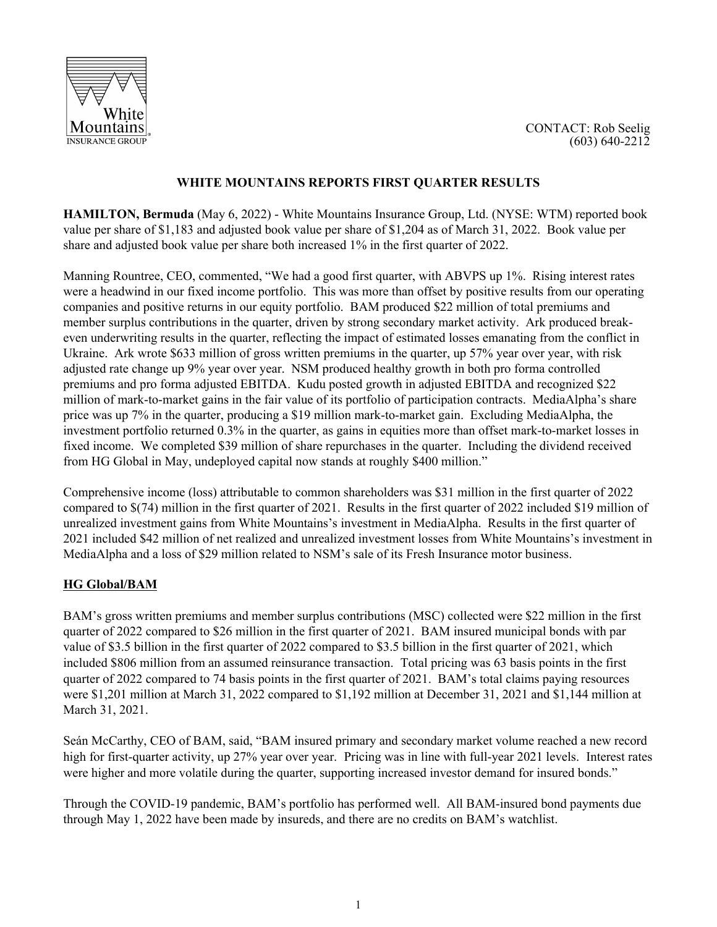



## **WHITE MOUNTAINS REPORTS FIRST QUARTER RESULTS**

**HAMILTON, Bermuda** (May 6, 2022) - White Mountains Insurance Group, Ltd. (NYSE: WTM) reported book value per share of \$1,183 and adjusted book value per share of \$1,204 as of March 31, 2022. Book value per share and adjusted book value per share both increased 1% in the first quarter of 2022.

Manning Rountree, CEO, commented, "We had a good first quarter, with ABVPS up 1%. Rising interest rates were a headwind in our fixed income portfolio. This was more than offset by positive results from our operating companies and positive returns in our equity portfolio. BAM produced \$22 million of total premiums and member surplus contributions in the quarter, driven by strong secondary market activity. Ark produced breakeven underwriting results in the quarter, reflecting the impact of estimated losses emanating from the conflict in Ukraine. Ark wrote \$633 million of gross written premiums in the quarter, up 57% year over year, with risk adjusted rate change up 9% year over year. NSM produced healthy growth in both pro forma controlled premiums and pro forma adjusted EBITDA. Kudu posted growth in adjusted EBITDA and recognized \$22 million of mark-to-market gains in the fair value of its portfolio of participation contracts. MediaAlpha's share price was up 7% in the quarter, producing a \$19 million mark-to-market gain. Excluding MediaAlpha, the investment portfolio returned 0.3% in the quarter, as gains in equities more than offset mark-to-market losses in fixed income. We completed \$39 million of share repurchases in the quarter. Including the dividend received from HG Global in May, undeployed capital now stands at roughly \$400 million."

Comprehensive income (loss) attributable to common shareholders was \$31 million in the first quarter of 2022 compared to \$(74) million in the first quarter of 2021. Results in the first quarter of 2022 included \$19 million of unrealized investment gains from White Mountains's investment in MediaAlpha. Results in the first quarter of 2021 included \$42 million of net realized and unrealized investment losses from White Mountains's investment in MediaAlpha and a loss of \$29 million related to NSM's sale of its Fresh Insurance motor business.

### **HG Global/BAM**

BAM's gross written premiums and member surplus contributions (MSC) collected were \$22 million in the first quarter of 2022 compared to \$26 million in the first quarter of 2021. BAM insured municipal bonds with par value of \$3.5 billion in the first quarter of 2022 compared to \$3.5 billion in the first quarter of 2021, which included \$806 million from an assumed reinsurance transaction. Total pricing was 63 basis points in the first quarter of 2022 compared to 74 basis points in the first quarter of 2021. BAM's total claims paying resources were \$1,201 million at March 31, 2022 compared to \$1,192 million at December 31, 2021 and \$1,144 million at March 31, 2021.

Seán McCarthy, CEO of BAM, said, "BAM insured primary and secondary market volume reached a new record high for first-quarter activity, up 27% year over year. Pricing was in line with full-year 2021 levels. Interest rates were higher and more volatile during the quarter, supporting increased investor demand for insured bonds."

Through the COVID-19 pandemic, BAM's portfolio has performed well. All BAM-insured bond payments due through May 1, 2022 have been made by insureds, and there are no credits on BAM's watchlist.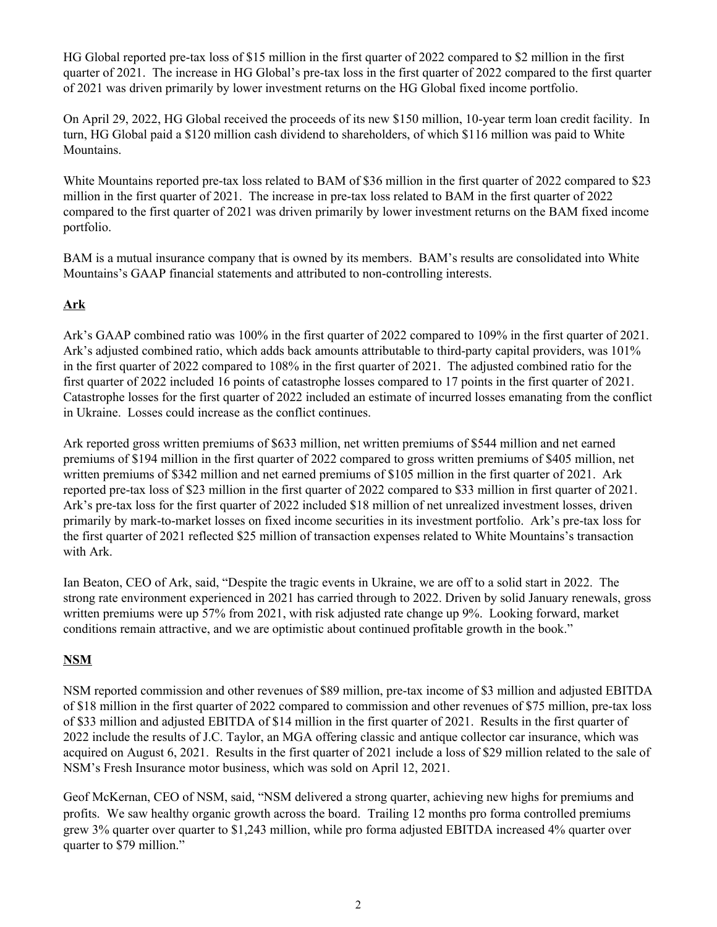HG Global reported pre-tax loss of \$15 million in the first quarter of 2022 compared to \$2 million in the first quarter of 2021. The increase in HG Global's pre-tax loss in the first quarter of 2022 compared to the first quarter of 2021 was driven primarily by lower investment returns on the HG Global fixed income portfolio.

On April 29, 2022, HG Global received the proceeds of its new \$150 million, 10-year term loan credit facility. In turn, HG Global paid a \$120 million cash dividend to shareholders, of which \$116 million was paid to White Mountains.

White Mountains reported pre-tax loss related to BAM of \$36 million in the first quarter of 2022 compared to \$23 million in the first quarter of 2021. The increase in pre-tax loss related to BAM in the first quarter of 2022 compared to the first quarter of 2021 was driven primarily by lower investment returns on the BAM fixed income portfolio.

BAM is a mutual insurance company that is owned by its members. BAM's results are consolidated into White Mountains's GAAP financial statements and attributed to non-controlling interests.

# **Ark**

Ark's GAAP combined ratio was 100% in the first quarter of 2022 compared to 109% in the first quarter of 2021. Ark's adjusted combined ratio, which adds back amounts attributable to third-party capital providers, was 101% in the first quarter of 2022 compared to 108% in the first quarter of 2021. The adjusted combined ratio for the first quarter of 2022 included 16 points of catastrophe losses compared to 17 points in the first quarter of 2021. Catastrophe losses for the first quarter of 2022 included an estimate of incurred losses emanating from the conflict in Ukraine. Losses could increase as the conflict continues.

Ark reported gross written premiums of \$633 million, net written premiums of \$544 million and net earned premiums of \$194 million in the first quarter of 2022 compared to gross written premiums of \$405 million, net written premiums of \$342 million and net earned premiums of \$105 million in the first quarter of 2021. Ark reported pre-tax loss of \$23 million in the first quarter of 2022 compared to \$33 million in first quarter of 2021. Ark's pre-tax loss for the first quarter of 2022 included \$18 million of net unrealized investment losses, driven primarily by mark-to-market losses on fixed income securities in its investment portfolio. Ark's pre-tax loss for the first quarter of 2021 reflected \$25 million of transaction expenses related to White Mountains's transaction with Ark.

Ian Beaton, CEO of Ark, said, "Despite the tragic events in Ukraine, we are off to a solid start in 2022. The strong rate environment experienced in 2021 has carried through to 2022. Driven by solid January renewals, gross written premiums were up 57% from 2021, with risk adjusted rate change up 9%. Looking forward, market conditions remain attractive, and we are optimistic about continued profitable growth in the book."

# **NSM**

NSM reported commission and other revenues of \$89 million, pre-tax income of \$3 million and adjusted EBITDA of \$18 million in the first quarter of 2022 compared to commission and other revenues of \$75 million, pre-tax loss of \$33 million and adjusted EBITDA of \$14 million in the first quarter of 2021. Results in the first quarter of 2022 include the results of J.C. Taylor, an MGA offering classic and antique collector car insurance, which was acquired on August 6, 2021. Results in the first quarter of 2021 include a loss of \$29 million related to the sale of NSM's Fresh Insurance motor business, which was sold on April 12, 2021.

Geof McKernan, CEO of NSM, said, "NSM delivered a strong quarter, achieving new highs for premiums and profits. We saw healthy organic growth across the board. Trailing 12 months pro forma controlled premiums grew 3% quarter over quarter to \$1,243 million, while pro forma adjusted EBITDA increased 4% quarter over quarter to \$79 million."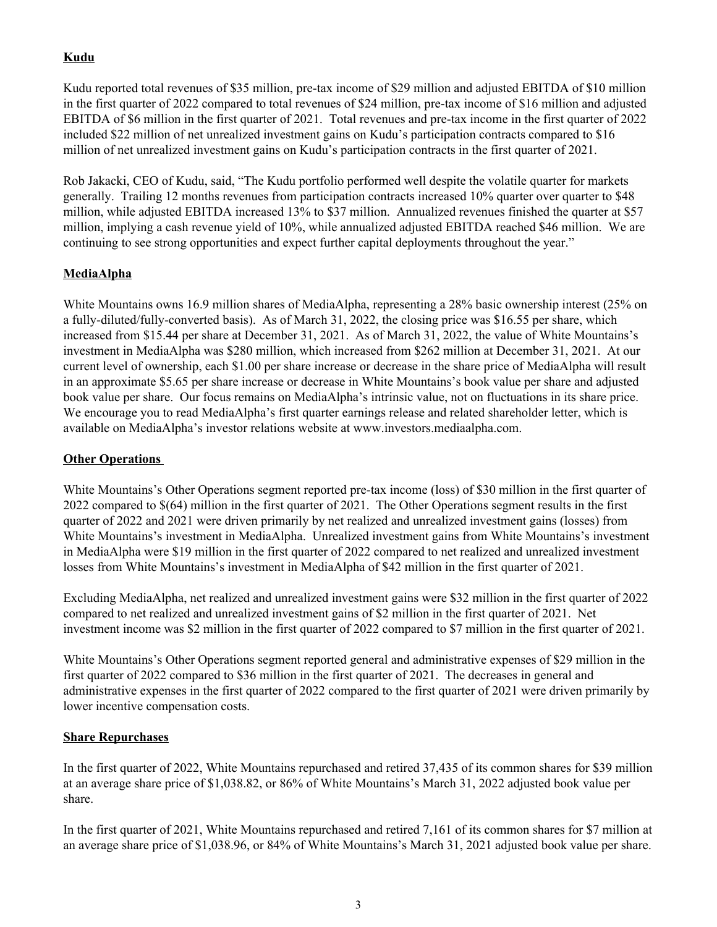# **Kudu**

Kudu reported total revenues of \$35 million, pre-tax income of \$29 million and adjusted EBITDA of \$10 million in the first quarter of 2022 compared to total revenues of \$24 million, pre-tax income of \$16 million and adjusted EBITDA of \$6 million in the first quarter of 2021. Total revenues and pre-tax income in the first quarter of 2022 included \$22 million of net unrealized investment gains on Kudu's participation contracts compared to \$16 million of net unrealized investment gains on Kudu's participation contracts in the first quarter of 2021.

Rob Jakacki, CEO of Kudu, said, "The Kudu portfolio performed well despite the volatile quarter for markets generally. Trailing 12 months revenues from participation contracts increased 10% quarter over quarter to \$48 million, while adjusted EBITDA increased 13% to \$37 million. Annualized revenues finished the quarter at \$57 million, implying a cash revenue yield of 10%, while annualized adjusted EBITDA reached \$46 million. We are continuing to see strong opportunities and expect further capital deployments throughout the year."

# **MediaAlpha**

White Mountains owns 16.9 million shares of MediaAlpha, representing a 28% basic ownership interest (25% on a fully-diluted/fully-converted basis). As of March 31, 2022, the closing price was \$16.55 per share, which increased from \$15.44 per share at December 31, 2021. As of March 31, 2022, the value of White Mountains's investment in MediaAlpha was \$280 million, which increased from \$262 million at December 31, 2021. At our current level of ownership, each \$1.00 per share increase or decrease in the share price of MediaAlpha will result in an approximate \$5.65 per share increase or decrease in White Mountains's book value per share and adjusted book value per share. Our focus remains on MediaAlpha's intrinsic value, not on fluctuations in its share price. We encourage you to read MediaAlpha's first quarter earnings release and related shareholder letter, which is available on MediaAlpha's investor relations website at www.investors.mediaalpha.com.

## **Other Operations**

White Mountains's Other Operations segment reported pre-tax income (loss) of \$30 million in the first quarter of 2022 compared to \$(64) million in the first quarter of 2021. The Other Operations segment results in the first quarter of 2022 and 2021 were driven primarily by net realized and unrealized investment gains (losses) from White Mountains's investment in MediaAlpha. Unrealized investment gains from White Mountains's investment in MediaAlpha were \$19 million in the first quarter of 2022 compared to net realized and unrealized investment losses from White Mountains's investment in MediaAlpha of \$42 million in the first quarter of 2021.

Excluding MediaAlpha, net realized and unrealized investment gains were \$32 million in the first quarter of 2022 compared to net realized and unrealized investment gains of \$2 million in the first quarter of 2021. Net investment income was \$2 million in the first quarter of 2022 compared to \$7 million in the first quarter of 2021.

White Mountains's Other Operations segment reported general and administrative expenses of \$29 million in the first quarter of 2022 compared to \$36 million in the first quarter of 2021. The decreases in general and administrative expenses in the first quarter of 2022 compared to the first quarter of 2021 were driven primarily by lower incentive compensation costs.

## **Share Repurchases**

In the first quarter of 2022, White Mountains repurchased and retired 37,435 of its common shares for \$39 million at an average share price of \$1,038.82, or 86% of White Mountains's March 31, 2022 adjusted book value per share.

In the first quarter of 2021, White Mountains repurchased and retired 7,161 of its common shares for \$7 million at an average share price of \$1,038.96, or 84% of White Mountains's March 31, 2021 adjusted book value per share.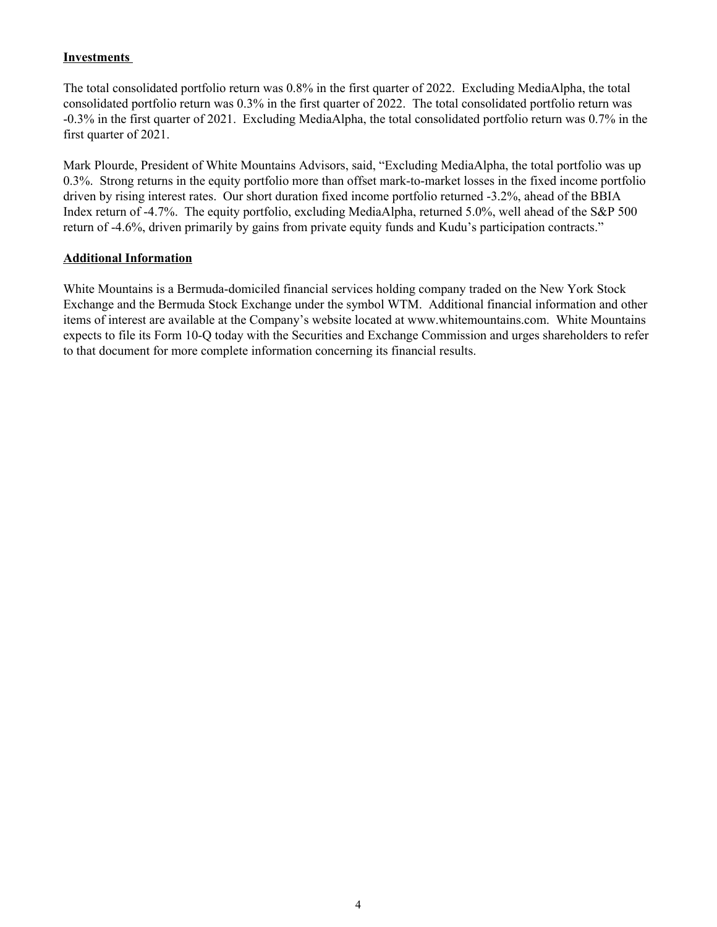### **Investments**

The total consolidated portfolio return was 0.8% in the first quarter of 2022. Excluding MediaAlpha, the total consolidated portfolio return was 0.3% in the first quarter of 2022. The total consolidated portfolio return was -0.3% in the first quarter of 2021. Excluding MediaAlpha, the total consolidated portfolio return was 0.7% in the first quarter of 2021.

Mark Plourde, President of White Mountains Advisors, said, "Excluding MediaAlpha, the total portfolio was up 0.3%. Strong returns in the equity portfolio more than offset mark-to-market losses in the fixed income portfolio driven by rising interest rates. Our short duration fixed income portfolio returned -3.2%, ahead of the BBIA Index return of -4.7%. The equity portfolio, excluding MediaAlpha, returned 5.0%, well ahead of the S&P 500 return of -4.6%, driven primarily by gains from private equity funds and Kudu's participation contracts."

### **Additional Information**

White Mountains is a Bermuda-domiciled financial services holding company traded on the New York Stock Exchange and the Bermuda Stock Exchange under the symbol WTM. Additional financial information and other items of interest are available at the Company's website located at www.whitemountains.com. White Mountains expects to file its Form 10-Q today with the Securities and Exchange Commission and urges shareholders to refer to that document for more complete information concerning its financial results.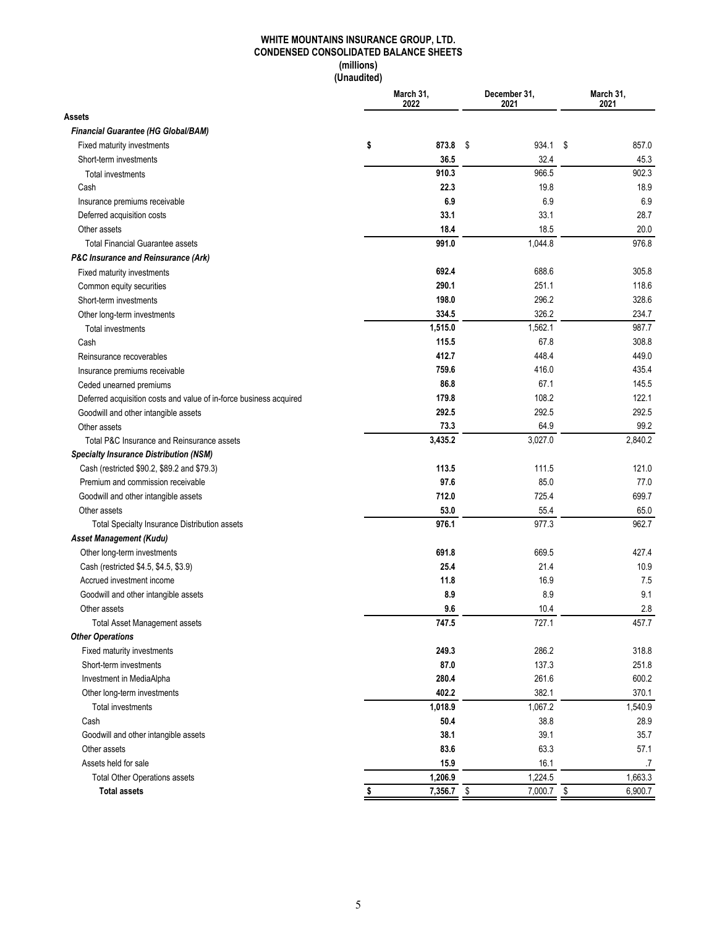#### **WHITE MOUNTAINS INSURANCE GROUP, LTD. CONDENSED CONSOLIDATED BALANCE SHEETS (millions) (Unaudited)**

| Assets<br>Financial Guarantee (HG Global/BAM)<br>\$<br>873.8 \$<br>934.1<br>\$<br>857.0<br>Fixed maturity investments<br>32.4<br>36.5<br>45.3<br>Short-term investments<br>910.3<br>966.5<br>902.3<br>Total investments<br>18.9<br>Cash<br>22.3<br>19.8<br>6.9<br>6.9<br>6.9<br>Insurance premiums receivable<br>28.7<br>33.1<br>33.1<br>Deferred acquisition costs<br>Other assets<br>18.4<br>18.5<br>20.0<br>976.8<br>991.0<br>1,044.8<br><b>Total Financial Guarantee assets</b><br><b>P&amp;C Insurance and Reinsurance (Ark)</b><br>688.6<br>692.4<br>305.8<br>Fixed maturity investments<br>290.1<br>251.1<br>118.6<br>Common equity securities<br>198.0<br>296.2<br>328.6<br>Short-term investments<br>326.2<br>334.5<br>234.7<br>Other long-term investments<br>1,515.0<br>1,562.1<br>987.7<br>Total investments<br>308.8<br>115.5<br>67.8<br>Cash<br>412.7<br>448.4<br>449.0<br>Reinsurance recoverables<br>759.6<br>416.0<br>435.4<br>Insurance premiums receivable<br>86.8<br>67.1<br>145.5<br>Ceded unearned premiums<br>179.8<br>108.2<br>122.1<br>Deferred acquisition costs and value of in-force business acquired<br>292.5<br>292.5<br>292.5<br>Goodwill and other intangible assets<br>64.9<br>99.2<br>73.3<br>Other assets<br>3,435.2<br>3,027.0<br>2,840.2<br>Total P&C Insurance and Reinsurance assets<br><b>Specialty Insurance Distribution (NSM)</b><br>113.5<br>Cash (restricted \$90.2, \$89.2 and \$79.3)<br>111.5<br>121.0<br>97.6<br>Premium and commission receivable<br>85.0<br>77.0<br>712.0<br>725.4<br>699.7<br>Goodwill and other intangible assets<br>53.0<br>55.4<br>65.0<br>Other assets<br>976.1<br>977.3<br>962.7<br>Total Specialty Insurance Distribution assets<br>Asset Management (Kudu)<br>691.8<br>669.5<br>427.4<br>Other long-term investments<br>10.9<br>Cash (restricted \$4.5, \$4.5, \$3.9)<br>25.4<br>21.4<br>7.5<br>Accrued investment income<br>11.8<br>16.9<br>9.1<br>8.9<br>8.9<br>Goodwill and other intangible assets<br>2.8<br>9.6<br>10.4<br>Other assets<br><b>Total Asset Management assets</b><br>747.5<br>727.1<br>457.7<br><b>Other Operations</b><br>249.3<br>286.2<br>318.8<br>Fixed maturity investments<br>87.0<br>137.3<br>251.8<br>Short-term investments<br>280.4<br>261.6<br>600.2<br>Investment in MediaAlpha<br>402.2<br>382.1<br>370.1<br>Other long-term investments<br>1,018.9<br>1,067.2<br>1,540.9<br>Total investments<br>38.8<br>28.9<br>Cash<br>50.4<br>39.1<br>35.7<br>38.1<br>Goodwill and other intangible assets<br>83.6<br>63.3<br>57.1<br>Other assets<br>15.9<br>16.1<br>Assets held for sale<br>.7<br>1,206.9<br>1,224.5<br>1,663.3<br><b>Total Other Operations assets</b><br>\$<br>\$<br><b>Total assets</b><br>7,356.7<br>7,000.7<br>6,900.7 |  | March 31,<br>2022 | December 31,<br>2021 | March 31,<br>2021 |  |  |
|-----------------------------------------------------------------------------------------------------------------------------------------------------------------------------------------------------------------------------------------------------------------------------------------------------------------------------------------------------------------------------------------------------------------------------------------------------------------------------------------------------------------------------------------------------------------------------------------------------------------------------------------------------------------------------------------------------------------------------------------------------------------------------------------------------------------------------------------------------------------------------------------------------------------------------------------------------------------------------------------------------------------------------------------------------------------------------------------------------------------------------------------------------------------------------------------------------------------------------------------------------------------------------------------------------------------------------------------------------------------------------------------------------------------------------------------------------------------------------------------------------------------------------------------------------------------------------------------------------------------------------------------------------------------------------------------------------------------------------------------------------------------------------------------------------------------------------------------------------------------------------------------------------------------------------------------------------------------------------------------------------------------------------------------------------------------------------------------------------------------------------------------------------------------------------------------------------------------------------------------------------------------------------------------------------------------------------------------------------------------------------------------------------------------------------------------------------------------------------------------------------------------------------------------------------------------------------------------------------------------------------------------------------------------------------------------------------------------------------------------------|--|-------------------|----------------------|-------------------|--|--|
|                                                                                                                                                                                                                                                                                                                                                                                                                                                                                                                                                                                                                                                                                                                                                                                                                                                                                                                                                                                                                                                                                                                                                                                                                                                                                                                                                                                                                                                                                                                                                                                                                                                                                                                                                                                                                                                                                                                                                                                                                                                                                                                                                                                                                                                                                                                                                                                                                                                                                                                                                                                                                                                                                                                                               |  |                   |                      |                   |  |  |
|                                                                                                                                                                                                                                                                                                                                                                                                                                                                                                                                                                                                                                                                                                                                                                                                                                                                                                                                                                                                                                                                                                                                                                                                                                                                                                                                                                                                                                                                                                                                                                                                                                                                                                                                                                                                                                                                                                                                                                                                                                                                                                                                                                                                                                                                                                                                                                                                                                                                                                                                                                                                                                                                                                                                               |  |                   |                      |                   |  |  |
|                                                                                                                                                                                                                                                                                                                                                                                                                                                                                                                                                                                                                                                                                                                                                                                                                                                                                                                                                                                                                                                                                                                                                                                                                                                                                                                                                                                                                                                                                                                                                                                                                                                                                                                                                                                                                                                                                                                                                                                                                                                                                                                                                                                                                                                                                                                                                                                                                                                                                                                                                                                                                                                                                                                                               |  |                   |                      |                   |  |  |
|                                                                                                                                                                                                                                                                                                                                                                                                                                                                                                                                                                                                                                                                                                                                                                                                                                                                                                                                                                                                                                                                                                                                                                                                                                                                                                                                                                                                                                                                                                                                                                                                                                                                                                                                                                                                                                                                                                                                                                                                                                                                                                                                                                                                                                                                                                                                                                                                                                                                                                                                                                                                                                                                                                                                               |  |                   |                      |                   |  |  |
|                                                                                                                                                                                                                                                                                                                                                                                                                                                                                                                                                                                                                                                                                                                                                                                                                                                                                                                                                                                                                                                                                                                                                                                                                                                                                                                                                                                                                                                                                                                                                                                                                                                                                                                                                                                                                                                                                                                                                                                                                                                                                                                                                                                                                                                                                                                                                                                                                                                                                                                                                                                                                                                                                                                                               |  |                   |                      |                   |  |  |
|                                                                                                                                                                                                                                                                                                                                                                                                                                                                                                                                                                                                                                                                                                                                                                                                                                                                                                                                                                                                                                                                                                                                                                                                                                                                                                                                                                                                                                                                                                                                                                                                                                                                                                                                                                                                                                                                                                                                                                                                                                                                                                                                                                                                                                                                                                                                                                                                                                                                                                                                                                                                                                                                                                                                               |  |                   |                      |                   |  |  |
|                                                                                                                                                                                                                                                                                                                                                                                                                                                                                                                                                                                                                                                                                                                                                                                                                                                                                                                                                                                                                                                                                                                                                                                                                                                                                                                                                                                                                                                                                                                                                                                                                                                                                                                                                                                                                                                                                                                                                                                                                                                                                                                                                                                                                                                                                                                                                                                                                                                                                                                                                                                                                                                                                                                                               |  |                   |                      |                   |  |  |
|                                                                                                                                                                                                                                                                                                                                                                                                                                                                                                                                                                                                                                                                                                                                                                                                                                                                                                                                                                                                                                                                                                                                                                                                                                                                                                                                                                                                                                                                                                                                                                                                                                                                                                                                                                                                                                                                                                                                                                                                                                                                                                                                                                                                                                                                                                                                                                                                                                                                                                                                                                                                                                                                                                                                               |  |                   |                      |                   |  |  |
|                                                                                                                                                                                                                                                                                                                                                                                                                                                                                                                                                                                                                                                                                                                                                                                                                                                                                                                                                                                                                                                                                                                                                                                                                                                                                                                                                                                                                                                                                                                                                                                                                                                                                                                                                                                                                                                                                                                                                                                                                                                                                                                                                                                                                                                                                                                                                                                                                                                                                                                                                                                                                                                                                                                                               |  |                   |                      |                   |  |  |
|                                                                                                                                                                                                                                                                                                                                                                                                                                                                                                                                                                                                                                                                                                                                                                                                                                                                                                                                                                                                                                                                                                                                                                                                                                                                                                                                                                                                                                                                                                                                                                                                                                                                                                                                                                                                                                                                                                                                                                                                                                                                                                                                                                                                                                                                                                                                                                                                                                                                                                                                                                                                                                                                                                                                               |  |                   |                      |                   |  |  |
|                                                                                                                                                                                                                                                                                                                                                                                                                                                                                                                                                                                                                                                                                                                                                                                                                                                                                                                                                                                                                                                                                                                                                                                                                                                                                                                                                                                                                                                                                                                                                                                                                                                                                                                                                                                                                                                                                                                                                                                                                                                                                                                                                                                                                                                                                                                                                                                                                                                                                                                                                                                                                                                                                                                                               |  |                   |                      |                   |  |  |
|                                                                                                                                                                                                                                                                                                                                                                                                                                                                                                                                                                                                                                                                                                                                                                                                                                                                                                                                                                                                                                                                                                                                                                                                                                                                                                                                                                                                                                                                                                                                                                                                                                                                                                                                                                                                                                                                                                                                                                                                                                                                                                                                                                                                                                                                                                                                                                                                                                                                                                                                                                                                                                                                                                                                               |  |                   |                      |                   |  |  |
|                                                                                                                                                                                                                                                                                                                                                                                                                                                                                                                                                                                                                                                                                                                                                                                                                                                                                                                                                                                                                                                                                                                                                                                                                                                                                                                                                                                                                                                                                                                                                                                                                                                                                                                                                                                                                                                                                                                                                                                                                                                                                                                                                                                                                                                                                                                                                                                                                                                                                                                                                                                                                                                                                                                                               |  |                   |                      |                   |  |  |
|                                                                                                                                                                                                                                                                                                                                                                                                                                                                                                                                                                                                                                                                                                                                                                                                                                                                                                                                                                                                                                                                                                                                                                                                                                                                                                                                                                                                                                                                                                                                                                                                                                                                                                                                                                                                                                                                                                                                                                                                                                                                                                                                                                                                                                                                                                                                                                                                                                                                                                                                                                                                                                                                                                                                               |  |                   |                      |                   |  |  |
|                                                                                                                                                                                                                                                                                                                                                                                                                                                                                                                                                                                                                                                                                                                                                                                                                                                                                                                                                                                                                                                                                                                                                                                                                                                                                                                                                                                                                                                                                                                                                                                                                                                                                                                                                                                                                                                                                                                                                                                                                                                                                                                                                                                                                                                                                                                                                                                                                                                                                                                                                                                                                                                                                                                                               |  |                   |                      |                   |  |  |
|                                                                                                                                                                                                                                                                                                                                                                                                                                                                                                                                                                                                                                                                                                                                                                                                                                                                                                                                                                                                                                                                                                                                                                                                                                                                                                                                                                                                                                                                                                                                                                                                                                                                                                                                                                                                                                                                                                                                                                                                                                                                                                                                                                                                                                                                                                                                                                                                                                                                                                                                                                                                                                                                                                                                               |  |                   |                      |                   |  |  |
|                                                                                                                                                                                                                                                                                                                                                                                                                                                                                                                                                                                                                                                                                                                                                                                                                                                                                                                                                                                                                                                                                                                                                                                                                                                                                                                                                                                                                                                                                                                                                                                                                                                                                                                                                                                                                                                                                                                                                                                                                                                                                                                                                                                                                                                                                                                                                                                                                                                                                                                                                                                                                                                                                                                                               |  |                   |                      |                   |  |  |
|                                                                                                                                                                                                                                                                                                                                                                                                                                                                                                                                                                                                                                                                                                                                                                                                                                                                                                                                                                                                                                                                                                                                                                                                                                                                                                                                                                                                                                                                                                                                                                                                                                                                                                                                                                                                                                                                                                                                                                                                                                                                                                                                                                                                                                                                                                                                                                                                                                                                                                                                                                                                                                                                                                                                               |  |                   |                      |                   |  |  |
|                                                                                                                                                                                                                                                                                                                                                                                                                                                                                                                                                                                                                                                                                                                                                                                                                                                                                                                                                                                                                                                                                                                                                                                                                                                                                                                                                                                                                                                                                                                                                                                                                                                                                                                                                                                                                                                                                                                                                                                                                                                                                                                                                                                                                                                                                                                                                                                                                                                                                                                                                                                                                                                                                                                                               |  |                   |                      |                   |  |  |
|                                                                                                                                                                                                                                                                                                                                                                                                                                                                                                                                                                                                                                                                                                                                                                                                                                                                                                                                                                                                                                                                                                                                                                                                                                                                                                                                                                                                                                                                                                                                                                                                                                                                                                                                                                                                                                                                                                                                                                                                                                                                                                                                                                                                                                                                                                                                                                                                                                                                                                                                                                                                                                                                                                                                               |  |                   |                      |                   |  |  |
|                                                                                                                                                                                                                                                                                                                                                                                                                                                                                                                                                                                                                                                                                                                                                                                                                                                                                                                                                                                                                                                                                                                                                                                                                                                                                                                                                                                                                                                                                                                                                                                                                                                                                                                                                                                                                                                                                                                                                                                                                                                                                                                                                                                                                                                                                                                                                                                                                                                                                                                                                                                                                                                                                                                                               |  |                   |                      |                   |  |  |
|                                                                                                                                                                                                                                                                                                                                                                                                                                                                                                                                                                                                                                                                                                                                                                                                                                                                                                                                                                                                                                                                                                                                                                                                                                                                                                                                                                                                                                                                                                                                                                                                                                                                                                                                                                                                                                                                                                                                                                                                                                                                                                                                                                                                                                                                                                                                                                                                                                                                                                                                                                                                                                                                                                                                               |  |                   |                      |                   |  |  |
|                                                                                                                                                                                                                                                                                                                                                                                                                                                                                                                                                                                                                                                                                                                                                                                                                                                                                                                                                                                                                                                                                                                                                                                                                                                                                                                                                                                                                                                                                                                                                                                                                                                                                                                                                                                                                                                                                                                                                                                                                                                                                                                                                                                                                                                                                                                                                                                                                                                                                                                                                                                                                                                                                                                                               |  |                   |                      |                   |  |  |
|                                                                                                                                                                                                                                                                                                                                                                                                                                                                                                                                                                                                                                                                                                                                                                                                                                                                                                                                                                                                                                                                                                                                                                                                                                                                                                                                                                                                                                                                                                                                                                                                                                                                                                                                                                                                                                                                                                                                                                                                                                                                                                                                                                                                                                                                                                                                                                                                                                                                                                                                                                                                                                                                                                                                               |  |                   |                      |                   |  |  |
|                                                                                                                                                                                                                                                                                                                                                                                                                                                                                                                                                                                                                                                                                                                                                                                                                                                                                                                                                                                                                                                                                                                                                                                                                                                                                                                                                                                                                                                                                                                                                                                                                                                                                                                                                                                                                                                                                                                                                                                                                                                                                                                                                                                                                                                                                                                                                                                                                                                                                                                                                                                                                                                                                                                                               |  |                   |                      |                   |  |  |
|                                                                                                                                                                                                                                                                                                                                                                                                                                                                                                                                                                                                                                                                                                                                                                                                                                                                                                                                                                                                                                                                                                                                                                                                                                                                                                                                                                                                                                                                                                                                                                                                                                                                                                                                                                                                                                                                                                                                                                                                                                                                                                                                                                                                                                                                                                                                                                                                                                                                                                                                                                                                                                                                                                                                               |  |                   |                      |                   |  |  |
|                                                                                                                                                                                                                                                                                                                                                                                                                                                                                                                                                                                                                                                                                                                                                                                                                                                                                                                                                                                                                                                                                                                                                                                                                                                                                                                                                                                                                                                                                                                                                                                                                                                                                                                                                                                                                                                                                                                                                                                                                                                                                                                                                                                                                                                                                                                                                                                                                                                                                                                                                                                                                                                                                                                                               |  |                   |                      |                   |  |  |
|                                                                                                                                                                                                                                                                                                                                                                                                                                                                                                                                                                                                                                                                                                                                                                                                                                                                                                                                                                                                                                                                                                                                                                                                                                                                                                                                                                                                                                                                                                                                                                                                                                                                                                                                                                                                                                                                                                                                                                                                                                                                                                                                                                                                                                                                                                                                                                                                                                                                                                                                                                                                                                                                                                                                               |  |                   |                      |                   |  |  |
|                                                                                                                                                                                                                                                                                                                                                                                                                                                                                                                                                                                                                                                                                                                                                                                                                                                                                                                                                                                                                                                                                                                                                                                                                                                                                                                                                                                                                                                                                                                                                                                                                                                                                                                                                                                                                                                                                                                                                                                                                                                                                                                                                                                                                                                                                                                                                                                                                                                                                                                                                                                                                                                                                                                                               |  |                   |                      |                   |  |  |
|                                                                                                                                                                                                                                                                                                                                                                                                                                                                                                                                                                                                                                                                                                                                                                                                                                                                                                                                                                                                                                                                                                                                                                                                                                                                                                                                                                                                                                                                                                                                                                                                                                                                                                                                                                                                                                                                                                                                                                                                                                                                                                                                                                                                                                                                                                                                                                                                                                                                                                                                                                                                                                                                                                                                               |  |                   |                      |                   |  |  |
|                                                                                                                                                                                                                                                                                                                                                                                                                                                                                                                                                                                                                                                                                                                                                                                                                                                                                                                                                                                                                                                                                                                                                                                                                                                                                                                                                                                                                                                                                                                                                                                                                                                                                                                                                                                                                                                                                                                                                                                                                                                                                                                                                                                                                                                                                                                                                                                                                                                                                                                                                                                                                                                                                                                                               |  |                   |                      |                   |  |  |
|                                                                                                                                                                                                                                                                                                                                                                                                                                                                                                                                                                                                                                                                                                                                                                                                                                                                                                                                                                                                                                                                                                                                                                                                                                                                                                                                                                                                                                                                                                                                                                                                                                                                                                                                                                                                                                                                                                                                                                                                                                                                                                                                                                                                                                                                                                                                                                                                                                                                                                                                                                                                                                                                                                                                               |  |                   |                      |                   |  |  |
|                                                                                                                                                                                                                                                                                                                                                                                                                                                                                                                                                                                                                                                                                                                                                                                                                                                                                                                                                                                                                                                                                                                                                                                                                                                                                                                                                                                                                                                                                                                                                                                                                                                                                                                                                                                                                                                                                                                                                                                                                                                                                                                                                                                                                                                                                                                                                                                                                                                                                                                                                                                                                                                                                                                                               |  |                   |                      |                   |  |  |
|                                                                                                                                                                                                                                                                                                                                                                                                                                                                                                                                                                                                                                                                                                                                                                                                                                                                                                                                                                                                                                                                                                                                                                                                                                                                                                                                                                                                                                                                                                                                                                                                                                                                                                                                                                                                                                                                                                                                                                                                                                                                                                                                                                                                                                                                                                                                                                                                                                                                                                                                                                                                                                                                                                                                               |  |                   |                      |                   |  |  |
|                                                                                                                                                                                                                                                                                                                                                                                                                                                                                                                                                                                                                                                                                                                                                                                                                                                                                                                                                                                                                                                                                                                                                                                                                                                                                                                                                                                                                                                                                                                                                                                                                                                                                                                                                                                                                                                                                                                                                                                                                                                                                                                                                                                                                                                                                                                                                                                                                                                                                                                                                                                                                                                                                                                                               |  |                   |                      |                   |  |  |
|                                                                                                                                                                                                                                                                                                                                                                                                                                                                                                                                                                                                                                                                                                                                                                                                                                                                                                                                                                                                                                                                                                                                                                                                                                                                                                                                                                                                                                                                                                                                                                                                                                                                                                                                                                                                                                                                                                                                                                                                                                                                                                                                                                                                                                                                                                                                                                                                                                                                                                                                                                                                                                                                                                                                               |  |                   |                      |                   |  |  |
|                                                                                                                                                                                                                                                                                                                                                                                                                                                                                                                                                                                                                                                                                                                                                                                                                                                                                                                                                                                                                                                                                                                                                                                                                                                                                                                                                                                                                                                                                                                                                                                                                                                                                                                                                                                                                                                                                                                                                                                                                                                                                                                                                                                                                                                                                                                                                                                                                                                                                                                                                                                                                                                                                                                                               |  |                   |                      |                   |  |  |
|                                                                                                                                                                                                                                                                                                                                                                                                                                                                                                                                                                                                                                                                                                                                                                                                                                                                                                                                                                                                                                                                                                                                                                                                                                                                                                                                                                                                                                                                                                                                                                                                                                                                                                                                                                                                                                                                                                                                                                                                                                                                                                                                                                                                                                                                                                                                                                                                                                                                                                                                                                                                                                                                                                                                               |  |                   |                      |                   |  |  |
|                                                                                                                                                                                                                                                                                                                                                                                                                                                                                                                                                                                                                                                                                                                                                                                                                                                                                                                                                                                                                                                                                                                                                                                                                                                                                                                                                                                                                                                                                                                                                                                                                                                                                                                                                                                                                                                                                                                                                                                                                                                                                                                                                                                                                                                                                                                                                                                                                                                                                                                                                                                                                                                                                                                                               |  |                   |                      |                   |  |  |
|                                                                                                                                                                                                                                                                                                                                                                                                                                                                                                                                                                                                                                                                                                                                                                                                                                                                                                                                                                                                                                                                                                                                                                                                                                                                                                                                                                                                                                                                                                                                                                                                                                                                                                                                                                                                                                                                                                                                                                                                                                                                                                                                                                                                                                                                                                                                                                                                                                                                                                                                                                                                                                                                                                                                               |  |                   |                      |                   |  |  |
|                                                                                                                                                                                                                                                                                                                                                                                                                                                                                                                                                                                                                                                                                                                                                                                                                                                                                                                                                                                                                                                                                                                                                                                                                                                                                                                                                                                                                                                                                                                                                                                                                                                                                                                                                                                                                                                                                                                                                                                                                                                                                                                                                                                                                                                                                                                                                                                                                                                                                                                                                                                                                                                                                                                                               |  |                   |                      |                   |  |  |
|                                                                                                                                                                                                                                                                                                                                                                                                                                                                                                                                                                                                                                                                                                                                                                                                                                                                                                                                                                                                                                                                                                                                                                                                                                                                                                                                                                                                                                                                                                                                                                                                                                                                                                                                                                                                                                                                                                                                                                                                                                                                                                                                                                                                                                                                                                                                                                                                                                                                                                                                                                                                                                                                                                                                               |  |                   |                      |                   |  |  |
|                                                                                                                                                                                                                                                                                                                                                                                                                                                                                                                                                                                                                                                                                                                                                                                                                                                                                                                                                                                                                                                                                                                                                                                                                                                                                                                                                                                                                                                                                                                                                                                                                                                                                                                                                                                                                                                                                                                                                                                                                                                                                                                                                                                                                                                                                                                                                                                                                                                                                                                                                                                                                                                                                                                                               |  |                   |                      |                   |  |  |
|                                                                                                                                                                                                                                                                                                                                                                                                                                                                                                                                                                                                                                                                                                                                                                                                                                                                                                                                                                                                                                                                                                                                                                                                                                                                                                                                                                                                                                                                                                                                                                                                                                                                                                                                                                                                                                                                                                                                                                                                                                                                                                                                                                                                                                                                                                                                                                                                                                                                                                                                                                                                                                                                                                                                               |  |                   |                      |                   |  |  |
|                                                                                                                                                                                                                                                                                                                                                                                                                                                                                                                                                                                                                                                                                                                                                                                                                                                                                                                                                                                                                                                                                                                                                                                                                                                                                                                                                                                                                                                                                                                                                                                                                                                                                                                                                                                                                                                                                                                                                                                                                                                                                                                                                                                                                                                                                                                                                                                                                                                                                                                                                                                                                                                                                                                                               |  |                   |                      |                   |  |  |
|                                                                                                                                                                                                                                                                                                                                                                                                                                                                                                                                                                                                                                                                                                                                                                                                                                                                                                                                                                                                                                                                                                                                                                                                                                                                                                                                                                                                                                                                                                                                                                                                                                                                                                                                                                                                                                                                                                                                                                                                                                                                                                                                                                                                                                                                                                                                                                                                                                                                                                                                                                                                                                                                                                                                               |  |                   |                      |                   |  |  |
|                                                                                                                                                                                                                                                                                                                                                                                                                                                                                                                                                                                                                                                                                                                                                                                                                                                                                                                                                                                                                                                                                                                                                                                                                                                                                                                                                                                                                                                                                                                                                                                                                                                                                                                                                                                                                                                                                                                                                                                                                                                                                                                                                                                                                                                                                                                                                                                                                                                                                                                                                                                                                                                                                                                                               |  |                   |                      |                   |  |  |
|                                                                                                                                                                                                                                                                                                                                                                                                                                                                                                                                                                                                                                                                                                                                                                                                                                                                                                                                                                                                                                                                                                                                                                                                                                                                                                                                                                                                                                                                                                                                                                                                                                                                                                                                                                                                                                                                                                                                                                                                                                                                                                                                                                                                                                                                                                                                                                                                                                                                                                                                                                                                                                                                                                                                               |  |                   |                      |                   |  |  |
|                                                                                                                                                                                                                                                                                                                                                                                                                                                                                                                                                                                                                                                                                                                                                                                                                                                                                                                                                                                                                                                                                                                                                                                                                                                                                                                                                                                                                                                                                                                                                                                                                                                                                                                                                                                                                                                                                                                                                                                                                                                                                                                                                                                                                                                                                                                                                                                                                                                                                                                                                                                                                                                                                                                                               |  |                   |                      |                   |  |  |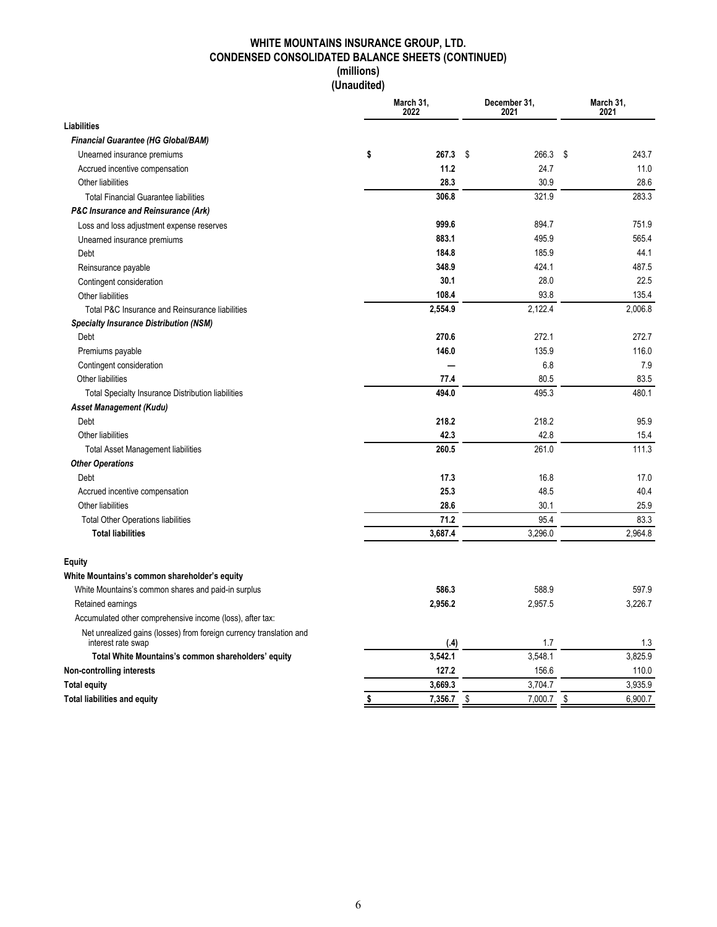### **WHITE MOUNTAINS INSURANCE GROUP, LTD. CONDENSED CONSOLIDATED BALANCE SHEETS (CONTINUED) (millions)**

**(Unaudited)**

|                                                                                           | March 31,<br>2022  | December 31,<br>2021 | March 31,<br>2021 |         |  |
|-------------------------------------------------------------------------------------------|--------------------|----------------------|-------------------|---------|--|
| <b>Liabilities</b>                                                                        |                    |                      |                   |         |  |
| <b>Financial Guarantee (HG Global/BAM)</b>                                                |                    |                      |                   |         |  |
| Unearned insurance premiums                                                               | \$<br>267.3        | \$<br>266.3          | \$                | 243.7   |  |
| Accrued incentive compensation                                                            | 11.2               | 24.7                 |                   | 11.0    |  |
| Other liabilities                                                                         | 28.3               | 30.9                 |                   | 28.6    |  |
| <b>Total Financial Guarantee liabilities</b>                                              | 306.8              | 321.9                |                   | 283.3   |  |
| <b>P&amp;C Insurance and Reinsurance (Ark)</b>                                            |                    |                      |                   |         |  |
| Loss and loss adjustment expense reserves                                                 | 999.6              | 894.7                |                   | 751.9   |  |
| Unearned insurance premiums                                                               | 883.1              | 495.9                |                   | 565.4   |  |
| Debt                                                                                      | 184.8              | 185.9                |                   | 44.1    |  |
| Reinsurance payable                                                                       | 348.9              | 424.1                |                   | 487.5   |  |
| Contingent consideration                                                                  | 30.1               | 28.0                 |                   | 22.5    |  |
| Other liabilities                                                                         | 108.4              | 93.8                 |                   | 135.4   |  |
| Total P&C Insurance and Reinsurance liabilities                                           | 2,554.9            | 2,122.4              |                   | 2,006.8 |  |
| <b>Specialty Insurance Distribution (NSM)</b>                                             |                    |                      |                   |         |  |
| Debt                                                                                      | 270.6              | 272.1                |                   | 272.7   |  |
| Premiums payable                                                                          | 146.0              | 135.9                |                   | 116.0   |  |
| Contingent consideration                                                                  |                    | 6.8                  |                   | 7.9     |  |
| Other liabilities                                                                         | 77.4               | 80.5                 |                   | 83.5    |  |
| Total Specialty Insurance Distribution liabilities                                        | 494.0              | 495.3                |                   | 480.1   |  |
| Asset Management (Kudu)                                                                   |                    |                      |                   |         |  |
| Debt                                                                                      | 218.2              | 218.2                |                   | 95.9    |  |
| Other liabilities                                                                         | 42.3               | 42.8                 |                   | 15.4    |  |
| <b>Total Asset Management liabilities</b>                                                 | 260.5              | 261.0                |                   | 111.3   |  |
| <b>Other Operations</b>                                                                   |                    |                      |                   |         |  |
| Debt                                                                                      | 17.3               | 16.8                 |                   | 17.0    |  |
| Accrued incentive compensation                                                            | 25.3               | 48.5                 |                   | 40.4    |  |
| Other liabilities                                                                         | 28.6               | 30.1                 |                   | 25.9    |  |
| <b>Total Other Operations liabilities</b>                                                 | 71.2               | 95.4                 |                   | 83.3    |  |
| <b>Total liabilities</b>                                                                  | 3,687.4            | 3,296.0              |                   | 2,964.8 |  |
| Equity                                                                                    |                    |                      |                   |         |  |
| White Mountains's common shareholder's equity                                             |                    |                      |                   |         |  |
| White Mountains's common shares and paid-in surplus                                       | 586.3              | 588.9                |                   | 597.9   |  |
| Retained earnings                                                                         | 2,956.2            | 2,957.5              |                   | 3,226.7 |  |
| Accumulated other comprehensive income (loss), after tax:                                 |                    |                      |                   |         |  |
| Net unrealized gains (losses) from foreign currency translation and<br>interest rate swap | (.4)               | 1.7                  |                   | 1.3     |  |
| Total White Mountains's common shareholders' equity                                       | 3,542.1            | 3,548.1              |                   | 3,825.9 |  |
| Non-controlling interests                                                                 | 127.2              | 156.6                |                   | 110.0   |  |
| <b>Total equity</b>                                                                       | 3,669.3            | 3,704.7              |                   | 3,935.9 |  |
| <b>Total liabilities and equity</b>                                                       | \$<br>$7,356.7$ \$ | 7,000.7              | \$                | 6,900.7 |  |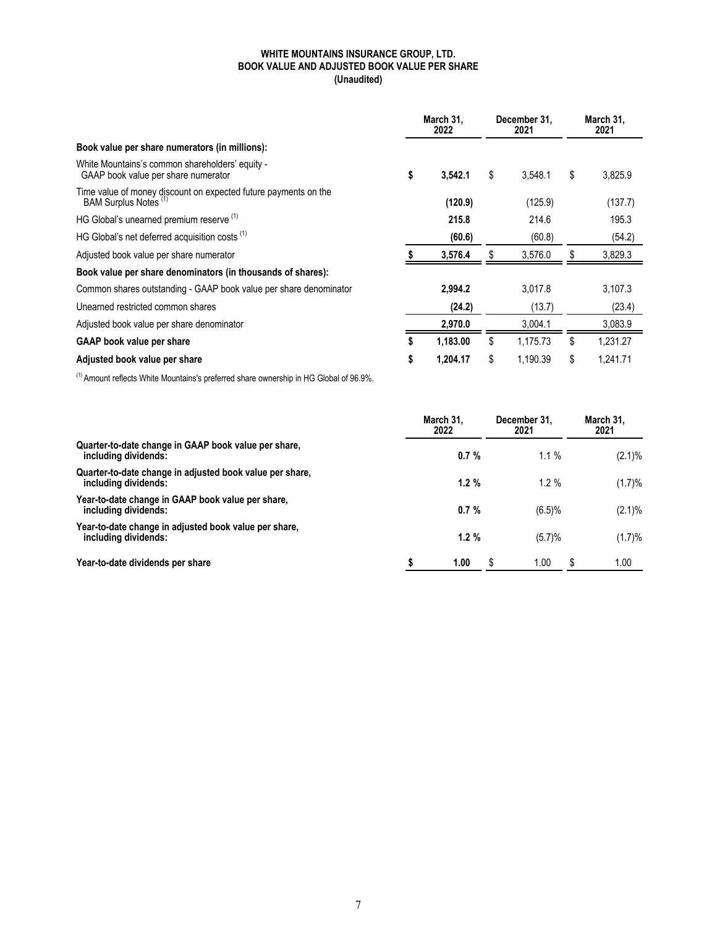#### **WHITE MOUNTAINS INSURANCE GROUP, LTD. BOOK VALUE AND ADJUSTED BOOK VALUE PER SHARE (Unaudited)**

|                                                                                          | March 31.<br>2022 |          | December 31.<br>2021 | March 31,<br>2021 |
|------------------------------------------------------------------------------------------|-------------------|----------|----------------------|-------------------|
| Book value per share numerators (in millions):                                           |                   |          |                      |                   |
| White Mountains's common shareholders' equity -<br>GAAP book value per share numerator   | \$                | 3,542.1  | \$<br>3,548.1        | \$<br>3,825.9     |
| Time value of money discount on expected future payments on the<br>BAM Surplus Notes (1) |                   | (120.9)  | (125.9)              | (137.7)           |
| HG Global's unearned premium reserve (1)                                                 |                   | 215.8    | 214.6                | 195.3             |
| HG Global's net deferred acquisition costs <sup>(1)</sup>                                |                   | (60.6)   | (60.8)               | (54.2)            |
| Adjusted book value per share numerator                                                  |                   | 3,576.4  | 3,576.0              | 3,829.3           |
| Book value per share denominators (in thousands of shares):                              |                   |          |                      |                   |
| Common shares outstanding - GAAP book value per share denominator                        |                   | 2.994.2  | 3.017.8              | 3,107.3           |
| Unearned restricted common shares                                                        |                   | (24.2)   | (13.7)               | (23.4)            |
| Adjusted book value per share denominator                                                |                   | 2,970.0  | 3.004.1              | 3,083.9           |
| <b>GAAP</b> book value per share                                                         | \$                | 1,183.00 | \$<br>1,175.73       | \$<br>1,231.27    |
| Adjusted book value per share                                                            | \$                | 1,204.17 | \$<br>1.190.39       | \$<br>1.241.71    |

 $<sup>(1)</sup>$  Amount reflects White Mountains's preferred share ownership in HG Global of 96.9%.</sup>

|                                                                                  | March 31.<br>2022 | December 31.<br>2021 | March 31.<br>2021 |
|----------------------------------------------------------------------------------|-------------------|----------------------|-------------------|
| Quarter-to-date change in GAAP book value per share,<br>including dividends:     | 0.7%              | $1.1\%$              | $(2.1)\%$         |
| Quarter-to-date change in adjusted book value per share,<br>including dividends: | 1.2%              | $1.2 \%$             | (1.7)%            |
| Year-to-date change in GAAP book value per share,<br>including dividends:        | 0.7%              | (6.5)%               | $(2.1)\%$         |
| Year-to-date change in adjusted book value per share.<br>including dividends:    | 1.2%              | (5.7)%               | (1.7)%            |
| Year-to-date dividends per share                                                 | \$<br>1.00        | S<br>0.00            | 1.00<br>S         |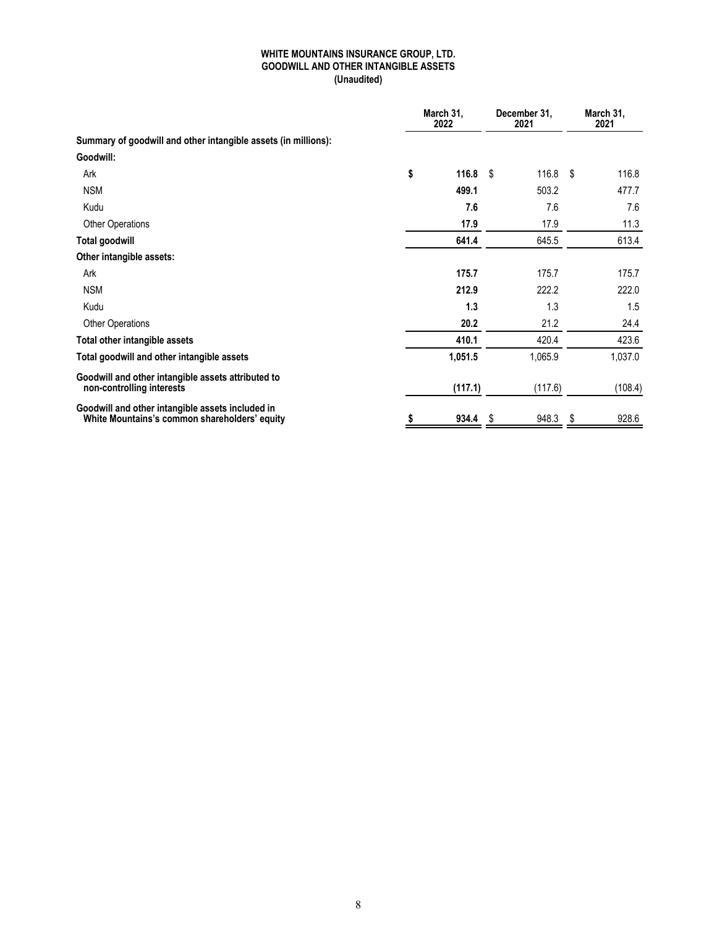#### **WHITE MOUNTAINS INSURANCE GROUP, LTD. GOODWILL AND OTHER INTANGIBLE ASSETS (Unaudited)**

|                                                                                                   | March 31,<br>2022 |      | December 31,<br>2021 | March 31,<br>2021 |         |
|---------------------------------------------------------------------------------------------------|-------------------|------|----------------------|-------------------|---------|
| Summary of goodwill and other intangible assets (in millions):                                    |                   |      |                      |                   |         |
| Goodwill:                                                                                         |                   |      |                      |                   |         |
| Ark                                                                                               | \$<br>116.8       | -\$  | $116.8$ \$           |                   | 116.8   |
| <b>NSM</b>                                                                                        | 499.1             |      | 503.2                |                   | 477.7   |
| Kudu                                                                                              | 7.6               |      | 7.6                  |                   | 7.6     |
| <b>Other Operations</b>                                                                           | 17.9              |      | 17.9                 |                   | 11.3    |
| Total goodwill                                                                                    | 641.4             |      | 645.5                |                   | 613.4   |
| Other intangible assets:                                                                          |                   |      |                      |                   |         |
| Ark                                                                                               | 175.7             |      | 175.7                |                   | 175.7   |
| <b>NSM</b>                                                                                        | 212.9             |      | 222.2                |                   | 222.0   |
| Kudu                                                                                              | 1.3               |      | 1.3                  |                   | 1.5     |
| <b>Other Operations</b>                                                                           | 20.2              |      | 21.2                 |                   | 24.4    |
| Total other intangible assets                                                                     | 410.1             |      | 420.4                |                   | 423.6   |
| Total goodwill and other intangible assets                                                        | 1,051.5           |      | 1,065.9              |                   | 1,037.0 |
| Goodwill and other intangible assets attributed to<br>non-controlling interests                   | (117.1)           |      | (117.6)              |                   | (108.4) |
| Goodwill and other intangible assets included in<br>White Mountains's common shareholders' equity | \$<br>934.4       | - \$ | 948.3                | S                 | 928.6   |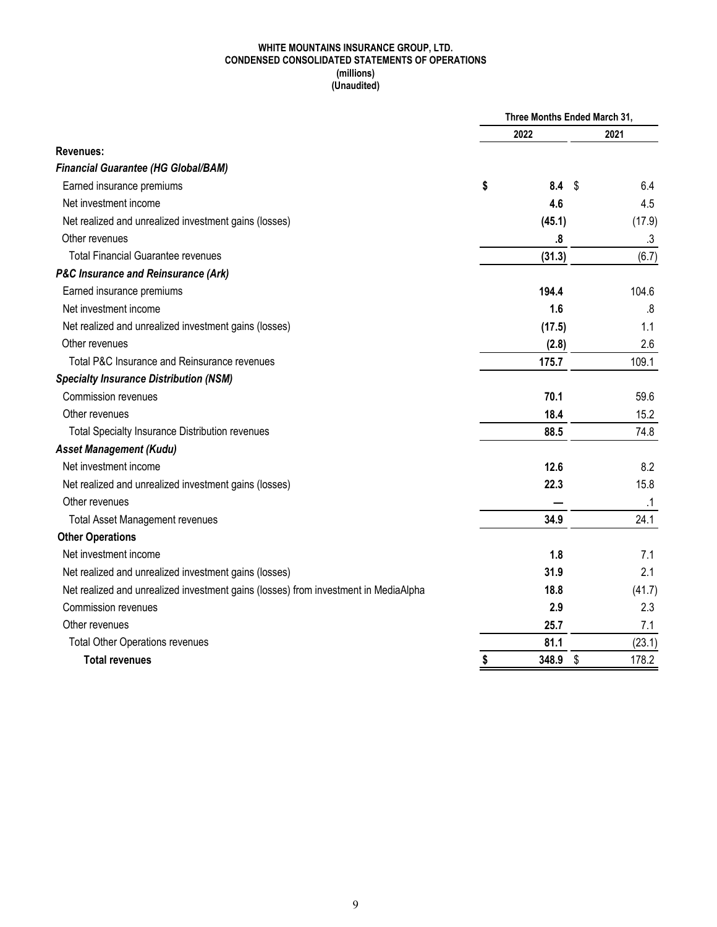#### **WHITE MOUNTAINS INSURANCE GROUP, LTD. CONDENSED CONSOLIDATED STATEMENTS OF OPERATIONS (millions) (Unaudited)**

|                                                                                     | Three Months Ended March 31, |    |           |  |  |
|-------------------------------------------------------------------------------------|------------------------------|----|-----------|--|--|
|                                                                                     | 2022                         |    | 2021      |  |  |
| Revenues:                                                                           |                              |    |           |  |  |
| <b>Financial Guarantee (HG Global/BAM)</b>                                          |                              |    |           |  |  |
| Earned insurance premiums                                                           | \$<br>$8.4\quad$             |    | 6.4       |  |  |
| Net investment income                                                               | 4.6                          |    | 4.5       |  |  |
| Net realized and unrealized investment gains (losses)                               | (45.1)                       |    | (17.9)    |  |  |
| Other revenues                                                                      | .8                           |    | .3        |  |  |
| <b>Total Financial Guarantee revenues</b>                                           | (31.3)                       |    | (6.7)     |  |  |
| <b>P&amp;C Insurance and Reinsurance (Ark)</b>                                      |                              |    |           |  |  |
| Earned insurance premiums                                                           | 194.4                        |    | 104.6     |  |  |
| Net investment income                                                               | 1.6                          |    | .8        |  |  |
| Net realized and unrealized investment gains (losses)                               | (17.5)                       |    | 1.1       |  |  |
| Other revenues                                                                      | (2.8)                        |    | 2.6       |  |  |
| Total P&C Insurance and Reinsurance revenues                                        | 175.7                        |    | 109.1     |  |  |
| <b>Specialty Insurance Distribution (NSM)</b>                                       |                              |    |           |  |  |
| Commission revenues                                                                 | 70.1                         |    | 59.6      |  |  |
| Other revenues                                                                      | 18.4                         |    | 15.2      |  |  |
| <b>Total Specialty Insurance Distribution revenues</b>                              | 88.5                         |    | 74.8      |  |  |
| <b>Asset Management (Kudu)</b>                                                      |                              |    |           |  |  |
| Net investment income                                                               | 12.6                         |    | 8.2       |  |  |
| Net realized and unrealized investment gains (losses)                               | 22.3                         |    | 15.8      |  |  |
| Other revenues                                                                      |                              |    | $\cdot$ 1 |  |  |
| <b>Total Asset Management revenues</b>                                              | 34.9                         |    | 24.1      |  |  |
| <b>Other Operations</b>                                                             |                              |    |           |  |  |
| Net investment income                                                               | 1.8                          |    | 7.1       |  |  |
| Net realized and unrealized investment gains (losses)                               | 31.9                         |    | 2.1       |  |  |
| Net realized and unrealized investment gains (losses) from investment in MediaAlpha | 18.8                         |    | (41.7)    |  |  |
| <b>Commission revenues</b>                                                          | 2.9                          |    | 2.3       |  |  |
| Other revenues                                                                      | 25.7                         |    | 7.1       |  |  |
| <b>Total Other Operations revenues</b>                                              | 81.1                         |    | (23.1)    |  |  |
| <b>Total revenues</b>                                                               | \$<br>348.9                  | \$ | 178.2     |  |  |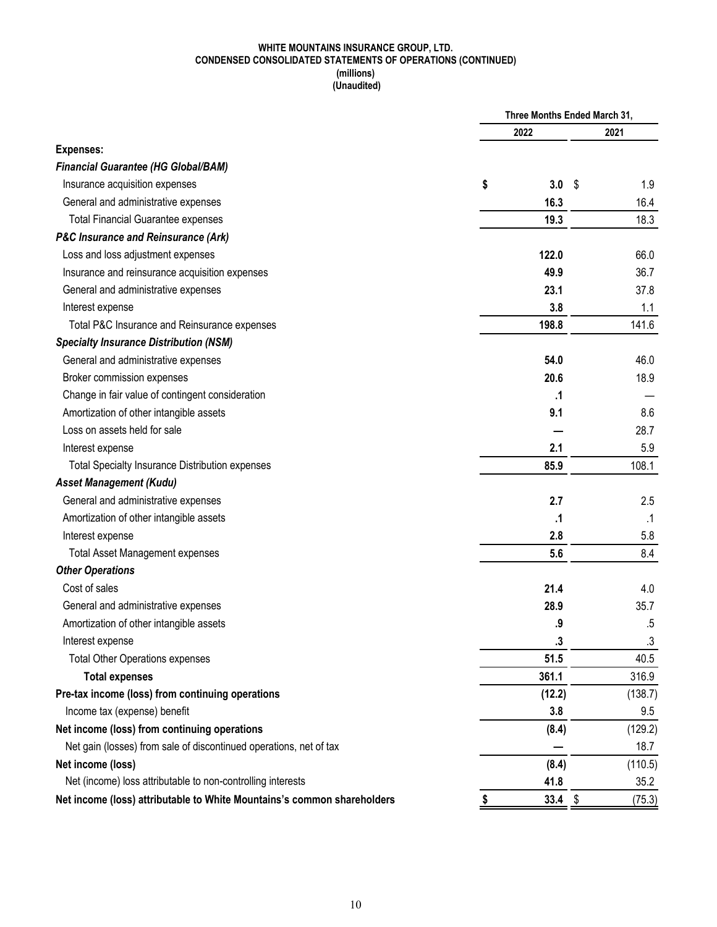#### **WHITE MOUNTAINS INSURANCE GROUP, LTD. CONDENSED CONSOLIDATED STATEMENTS OF OPERATIONS (CONTINUED) (millions) (Unaudited)**

|                                                                         | Three Months Ended March 31, |                   |   |           |
|-------------------------------------------------------------------------|------------------------------|-------------------|---|-----------|
|                                                                         |                              | 2022              |   | 2021      |
| <b>Expenses:</b>                                                        |                              |                   |   |           |
| <b>Financial Guarantee (HG Global/BAM)</b>                              |                              |                   |   |           |
| Insurance acquisition expenses                                          | \$                           | 3.0               | S | 1.9       |
| General and administrative expenses                                     |                              | 16.3              |   | 16.4      |
| <b>Total Financial Guarantee expenses</b>                               |                              | 19.3              |   | 18.3      |
| <b>P&amp;C Insurance and Reinsurance (Ark)</b>                          |                              |                   |   |           |
| Loss and loss adjustment expenses                                       |                              | 122.0             |   | 66.0      |
| Insurance and reinsurance acquisition expenses                          |                              | 49.9              |   | 36.7      |
| General and administrative expenses                                     |                              | 23.1              |   | 37.8      |
| Interest expense                                                        |                              | 3.8               |   | 1.1       |
| Total P&C Insurance and Reinsurance expenses                            |                              | 198.8             |   | 141.6     |
| <b>Specialty Insurance Distribution (NSM)</b>                           |                              |                   |   |           |
| General and administrative expenses                                     |                              | 54.0              |   | 46.0      |
| Broker commission expenses                                              |                              | 20.6              |   | 18.9      |
| Change in fair value of contingent consideration                        |                              | .1                |   |           |
| Amortization of other intangible assets                                 |                              | 9.1               |   | 8.6       |
| Loss on assets held for sale                                            |                              |                   |   | 28.7      |
| Interest expense                                                        |                              | 2.1               |   | 5.9       |
| <b>Total Specialty Insurance Distribution expenses</b>                  |                              | 85.9              |   | 108.1     |
| <b>Asset Management (Kudu)</b>                                          |                              |                   |   |           |
| General and administrative expenses                                     |                              | 2.7               |   | 2.5       |
| Amortization of other intangible assets                                 |                              | $\cdot$           |   | $\cdot$ 1 |
| Interest expense                                                        |                              | 2.8               |   | 5.8       |
| <b>Total Asset Management expenses</b>                                  |                              | 5.6               |   | 8.4       |
| <b>Other Operations</b>                                                 |                              |                   |   |           |
| Cost of sales                                                           |                              | 21.4              |   | 4.0       |
| General and administrative expenses                                     |                              | 28.9              |   | 35.7      |
| Amortization of other intangible assets                                 |                              | .9                |   | .5        |
| Interest expense                                                        |                              | $\boldsymbol{.3}$ |   | $.3\,$    |
| <b>Total Other Operations expenses</b>                                  |                              | 51.5              |   | 40.5      |
| <b>Total expenses</b>                                                   |                              | 361.1             |   | 316.9     |
| Pre-tax income (loss) from continuing operations                        |                              | (12.2)            |   | (138.7)   |
| Income tax (expense) benefit                                            |                              | 3.8               |   | 9.5       |
| Net income (loss) from continuing operations                            |                              | (8.4)             |   | (129.2)   |
| Net gain (losses) from sale of discontinued operations, net of tax      |                              |                   |   | 18.7      |
| Net income (loss)                                                       |                              | (8.4)             |   | (110.5)   |
| Net (income) loss attributable to non-controlling interests             |                              | 41.8              |   | 35.2      |
| Net income (loss) attributable to White Mountains's common shareholders | S                            | $33.4$ \$         |   | (75.3)    |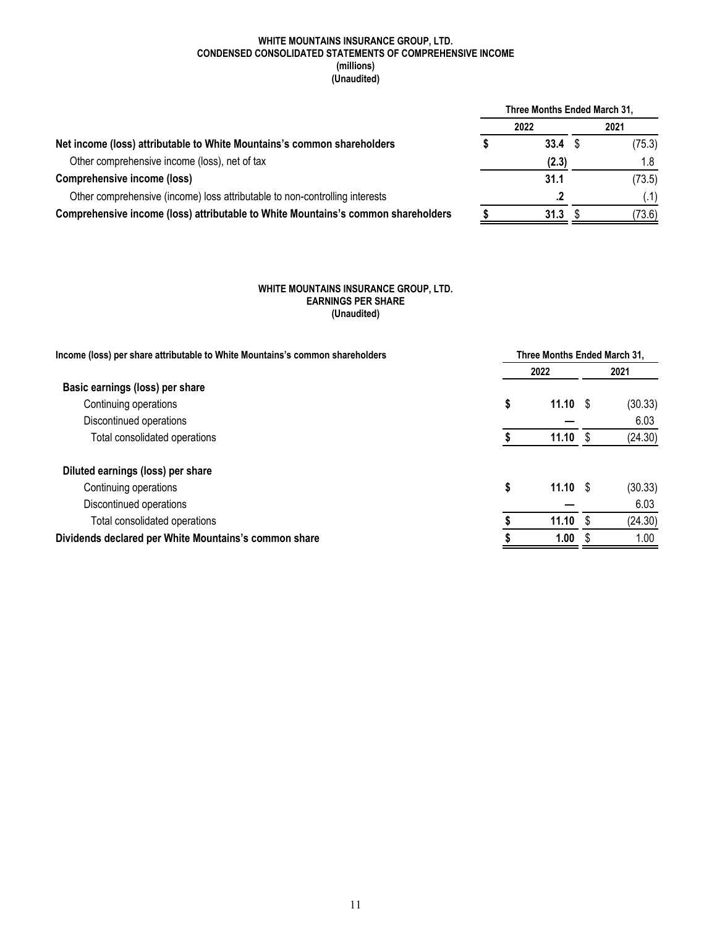#### **WHITE MOUNTAINS INSURANCE GROUP, LTD. CONDENSED CONSOLIDATED STATEMENTS OF COMPREHENSIVE INCOME (millions) (Unaudited)**

|                                                                                   | Three Months Ended March 31, |       |  |        |  |  |  |
|-----------------------------------------------------------------------------------|------------------------------|-------|--|--------|--|--|--|
|                                                                                   |                              | 2022  |  | 2021   |  |  |  |
| Net income (loss) attributable to White Mountains's common shareholders           |                              | 33.4  |  | (75.3) |  |  |  |
| Other comprehensive income (loss), net of tax                                     |                              | (2.3) |  | 1.8    |  |  |  |
| <b>Comprehensive income (loss)</b>                                                |                              | 31.1  |  | (73.5) |  |  |  |
| Other comprehensive (income) loss attributable to non-controlling interests       |                              | .2    |  | (.1)   |  |  |  |
| Comprehensive income (loss) attributable to White Mountains's common shareholders |                              | 31.3  |  | (73.6) |  |  |  |

#### **WHITE MOUNTAINS INSURANCE GROUP, LTD. EARNINGS PER SHARE (Unaudited)**

| Income (loss) per share attributable to White Mountains's common shareholders | Three Months Ended March 31. |             |  |         |  |  |  |  |  |
|-------------------------------------------------------------------------------|------------------------------|-------------|--|---------|--|--|--|--|--|
|                                                                               |                              | 2022        |  |         |  |  |  |  |  |
| Basic earnings (loss) per share                                               |                              |             |  |         |  |  |  |  |  |
| Continuing operations                                                         | \$                           | $11.10$ \$  |  | (30.33) |  |  |  |  |  |
| Discontinued operations                                                       |                              |             |  | 6.03    |  |  |  |  |  |
| Total consolidated operations                                                 |                              | $11.10 \t$$ |  | (24.30) |  |  |  |  |  |
| Diluted earnings (loss) per share                                             |                              |             |  |         |  |  |  |  |  |
| Continuing operations                                                         | \$                           | $11.10 \t$$ |  | (30.33) |  |  |  |  |  |
| Discontinued operations                                                       |                              |             |  | 6.03    |  |  |  |  |  |
| Total consolidated operations                                                 |                              | 11.10       |  | (24.30) |  |  |  |  |  |
| Dividends declared per White Mountains's common share                         |                              | 1.00        |  | 1.00    |  |  |  |  |  |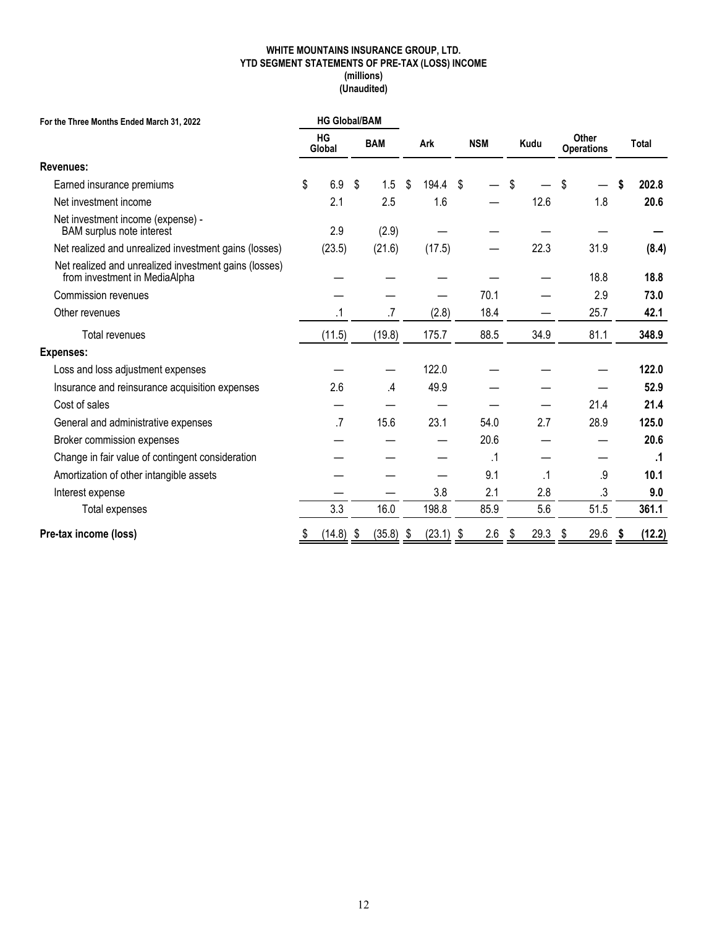#### **WHITE MOUNTAINS INSURANCE GROUP, LTD. YTD SEGMENT STATEMENTS OF PRE-TAX (LOSS) INCOME (millions) (Unaudited)**

| For the Three Months Ended March 31, 2022                                              | <b>HG Global/BAM</b> |           |      |               |      |             |    |            |                   |           |           |      |              |  |  |  |  |  |  |  |  |  |  |      |  |                            |              |
|----------------------------------------------------------------------------------------|----------------------|-----------|------|---------------|------|-------------|----|------------|-------------------|-----------|-----------|------|--------------|--|--|--|--|--|--|--|--|--|--|------|--|----------------------------|--------------|
|                                                                                        | <b>HG</b><br>Global  |           |      | <b>BAM</b>    |      | Ark         |    | <b>NSM</b> |                   |           |           |      |              |  |  |  |  |  |  |  |  |  |  | Kudu |  | Other<br><b>Operations</b> | <b>Total</b> |
| <b>Revenues:</b>                                                                       |                      |           |      |               |      |             |    |            |                   |           |           |      |              |  |  |  |  |  |  |  |  |  |  |      |  |                            |              |
| Earned insurance premiums                                                              | \$                   | 6.9       | \$   | 1.5           | \$   | 194.4       | \$ |            | \$                |           | \$.       |      | \$<br>202.8  |  |  |  |  |  |  |  |  |  |  |      |  |                            |              |
| Net investment income                                                                  |                      | 2.1       |      | 2.5           |      | 1.6         |    |            |                   | 12.6      |           | 1.8  | 20.6         |  |  |  |  |  |  |  |  |  |  |      |  |                            |              |
| Net investment income (expense) -<br><b>BAM</b> surplus note interest                  |                      | 2.9       |      | (2.9)         |      |             |    |            |                   |           |           |      |              |  |  |  |  |  |  |  |  |  |  |      |  |                            |              |
| Net realized and unrealized investment gains (losses)                                  |                      | (23.5)    |      | (21.6)        |      | (17.5)      |    |            |                   | 22.3      |           | 31.9 | (8.4)        |  |  |  |  |  |  |  |  |  |  |      |  |                            |              |
| Net realized and unrealized investment gains (losses)<br>from investment in MediaAlpha |                      |           |      |               |      |             |    |            |                   |           |           | 18.8 | 18.8         |  |  |  |  |  |  |  |  |  |  |      |  |                            |              |
| <b>Commission revenues</b>                                                             |                      |           |      |               |      |             |    | 70.1       |                   |           |           | 2.9  | 73.0         |  |  |  |  |  |  |  |  |  |  |      |  |                            |              |
| Other revenues                                                                         |                      | $\cdot$ 1 |      | .7            |      | (2.8)       |    | 18.4       |                   |           |           | 25.7 | 42.1         |  |  |  |  |  |  |  |  |  |  |      |  |                            |              |
| Total revenues                                                                         |                      | (11.5)    |      | (19.8)        |      | 175.7       |    | 88.5       |                   | 34.9      |           | 81.1 | 348.9        |  |  |  |  |  |  |  |  |  |  |      |  |                            |              |
| <b>Expenses:</b>                                                                       |                      |           |      |               |      |             |    |            |                   |           |           |      |              |  |  |  |  |  |  |  |  |  |  |      |  |                            |              |
| Loss and loss adjustment expenses                                                      |                      |           |      |               |      | 122.0       |    |            |                   |           |           |      | 122.0        |  |  |  |  |  |  |  |  |  |  |      |  |                            |              |
| Insurance and reinsurance acquisition expenses                                         |                      | 2.6       |      | $\mathcal{A}$ |      | 49.9        |    |            |                   |           |           |      | 52.9         |  |  |  |  |  |  |  |  |  |  |      |  |                            |              |
| Cost of sales                                                                          |                      |           |      |               |      |             |    |            |                   |           |           | 21.4 | 21.4         |  |  |  |  |  |  |  |  |  |  |      |  |                            |              |
| General and administrative expenses                                                    |                      | $.7\,$    |      | 15.6          |      | 23.1        |    | 54.0       |                   | 2.7       |           | 28.9 | 125.0        |  |  |  |  |  |  |  |  |  |  |      |  |                            |              |
| Broker commission expenses                                                             |                      |           |      |               |      |             |    | 20.6       |                   |           |           |      | 20.6         |  |  |  |  |  |  |  |  |  |  |      |  |                            |              |
| Change in fair value of contingent consideration                                       |                      |           |      |               |      |             |    | $\cdot$ 1  |                   |           |           |      | $\cdot$ 1    |  |  |  |  |  |  |  |  |  |  |      |  |                            |              |
| Amortization of other intangible assets                                                |                      |           |      |               |      |             |    | 9.1        |                   | $\cdot$ 1 |           | .9   | 10.1         |  |  |  |  |  |  |  |  |  |  |      |  |                            |              |
| Interest expense                                                                       |                      |           |      |               |      | 3.8         |    | 2.1        |                   | 2.8       |           | .3   | 9.0          |  |  |  |  |  |  |  |  |  |  |      |  |                            |              |
| Total expenses                                                                         |                      | 3.3       |      | 16.0          |      | 198.8       |    | 85.9       |                   | 5.6       |           | 51.5 | 361.1        |  |  |  |  |  |  |  |  |  |  |      |  |                            |              |
| Pre-tax income (loss)                                                                  |                      | (14.8)    | - \$ | (35.8)        | - \$ | $(23.1)$ \$ |    | $2.6\,$    | $\overline{\tau}$ | 29.3      | <u>\$</u> | 29.6 | \$<br>(12.2) |  |  |  |  |  |  |  |  |  |  |      |  |                            |              |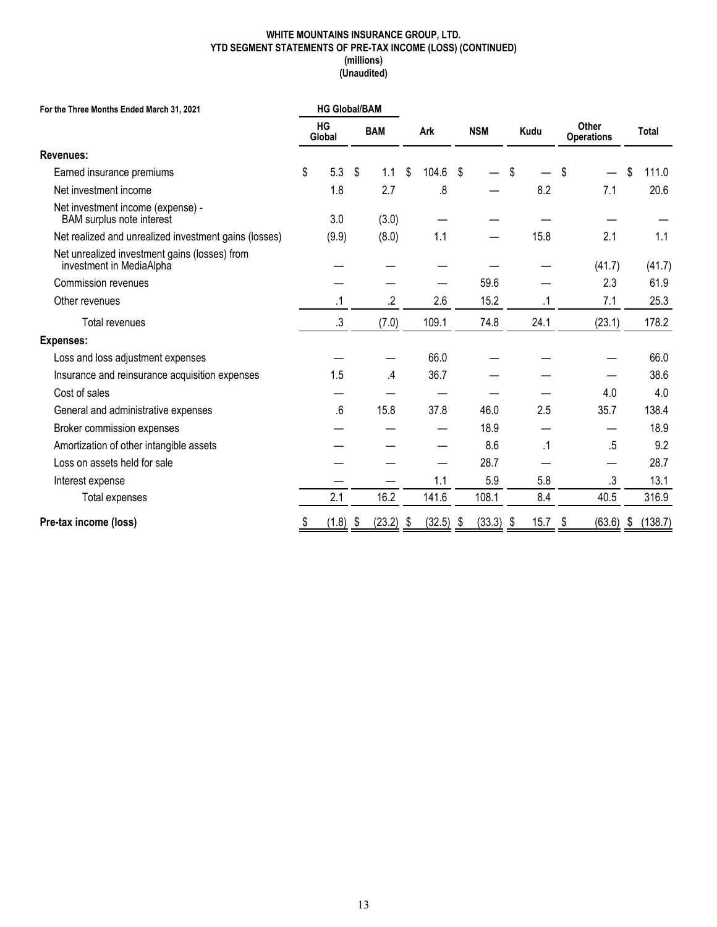#### **WHITE MOUNTAINS INSURANCE GROUP, LTD. YTD SEGMENT STATEMENTS OF PRE-TAX INCOME (LOSS) (CONTINUED) (millions) (Unaudited)**

| <b>HG Global/BAM</b><br>For the Three Months Ended March 31, 2021         |    |              |    |            |                   |            |             |           |                            |       |         |
|---------------------------------------------------------------------------|----|--------------|----|------------|-------------------|------------|-------------|-----------|----------------------------|-------|---------|
|                                                                           |    | HG<br>Global |    | <b>BAM</b> | Ark               | <b>NSM</b> |             | Kudu      | Other<br><b>Operations</b> | Total |         |
| Revenues:                                                                 |    |              |    |            |                   |            |             |           |                            |       |         |
| Earned insurance premiums                                                 | \$ | 5.3          | \$ | 1.1        | \$<br>104.6       | \$         |             | \$        | \$                         | \$    | 111.0   |
| Net investment income                                                     |    | 1.8          |    | 2.7        | .8                |            |             | 8.2       | 7.1                        |       | 20.6    |
| Net investment income (expense) -<br><b>BAM</b> surplus note interest     |    | 3.0          |    | (3.0)      |                   |            |             |           |                            |       |         |
| Net realized and unrealized investment gains (losses)                     |    | (9.9)        |    | (8.0)      | 1.1               |            |             | 15.8      | 2.1                        |       | 1.1     |
| Net unrealized investment gains (losses) from<br>investment in MediaAlpha |    |              |    |            |                   |            |             |           | (41.7)                     |       | (41.7)  |
| <b>Commission revenues</b>                                                |    |              |    |            |                   |            | 59.6        |           | 2.3                        |       | 61.9    |
| Other revenues                                                            |    | .1           |    | .2         | 2.6               |            | 15.2        | .1        | 7.1                        |       | 25.3    |
| Total revenues                                                            |    | .3           |    | (7.0)      | 109.1             |            | 74.8        | 24.1      | (23.1)                     |       | 178.2   |
| <b>Expenses:</b>                                                          |    |              |    |            |                   |            |             |           |                            |       |         |
| Loss and loss adjustment expenses                                         |    |              |    |            | 66.0              |            |             |           |                            |       | 66.0    |
| Insurance and reinsurance acquisition expenses                            |    | 1.5          |    | .4         | 36.7              |            |             |           |                            |       | 38.6    |
| Cost of sales                                                             |    |              |    |            |                   |            |             |           | 4.0                        |       | 4.0     |
| General and administrative expenses                                       |    | .6           |    | 15.8       | 37.8              |            | 46.0        | 2.5       | 35.7                       |       | 138.4   |
| Broker commission expenses                                                |    |              |    |            |                   |            | 18.9        |           |                            |       | 18.9    |
| Amortization of other intangible assets                                   |    |              |    |            |                   |            | 8.6         | $\cdot$ 1 | .5                         |       | 9.2     |
| Loss on assets held for sale                                              |    |              |    |            |                   |            | 28.7        |           |                            |       | 28.7    |
| Interest expense                                                          |    |              |    |            | 1.1               |            | 5.9         | 5.8       | .3                         |       | 13.1    |
| Total expenses                                                            |    | 2.1          |    | 16.2       | 141.6             |            | 108.1       | 8.4       | 40.5                       |       | 316.9   |
| Pre-tax income (loss)                                                     | \$ | (1.8)        | \$ | (23.2)     | \$<br>$(32.5)$ \$ |            | $(33.3)$ \$ | 15.7      | \$<br>(63.6)               | \$    | (138.7) |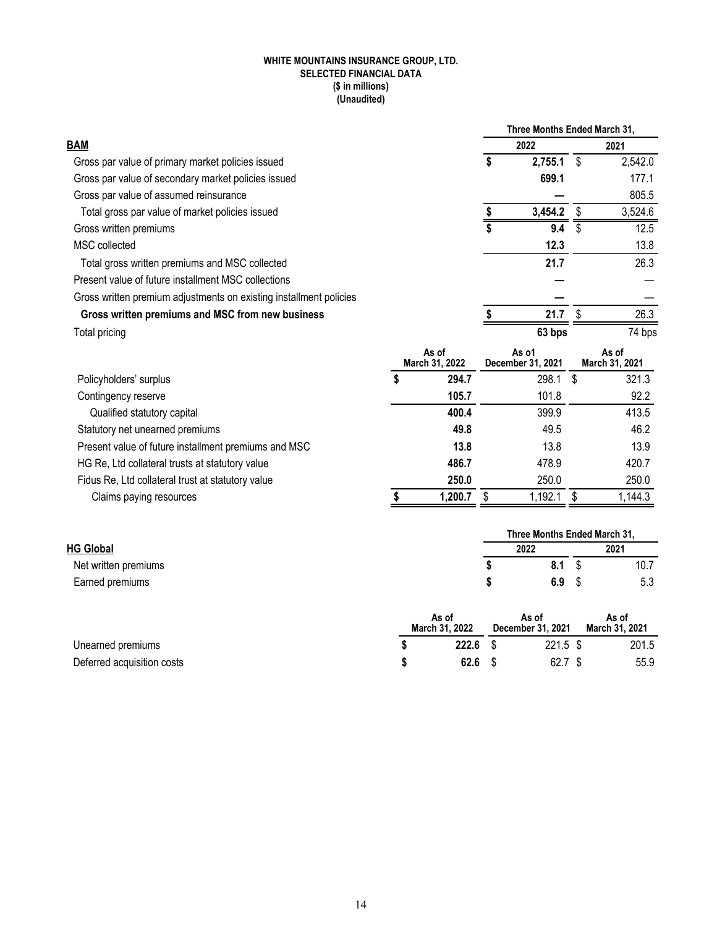#### **WHITE MOUNTAINS INSURANCE GROUP, LTD. SELECTED FINANCIAL DATA (\$ in millions) (Unaudited)**

|                                                                    |                         | Three Months Ended March 31, |                            |      |                         |  |  |
|--------------------------------------------------------------------|-------------------------|------------------------------|----------------------------|------|-------------------------|--|--|
| <b>BAM</b>                                                         |                         |                              | 2022                       | 2021 |                         |  |  |
| Gross par value of primary market policies issued                  |                         | \$                           | 2,755.1                    |      | 2,542.0                 |  |  |
| Gross par value of secondary market policies issued                |                         |                              | 699.1                      |      | 177.1                   |  |  |
| Gross par value of assumed reinsurance                             |                         |                              |                            |      | 805.5                   |  |  |
| Total gross par value of market policies issued                    |                         |                              | 3,454.2                    |      | 3,524.6                 |  |  |
| Gross written premiums                                             |                         |                              | 9.4                        |      | 12.5                    |  |  |
| MSC collected                                                      |                         |                              | 12.3                       |      | 13.8                    |  |  |
| Total gross written premiums and MSC collected                     |                         |                              | 21.7                       |      | 26.3                    |  |  |
| Present value of future installment MSC collections                |                         |                              |                            |      |                         |  |  |
| Gross written premium adjustments on existing installment policies |                         |                              |                            |      |                         |  |  |
| Gross written premiums and MSC from new business                   |                         |                              | 21.7                       |      | 26.3                    |  |  |
| Total pricing                                                      |                         |                              | 63 bps                     |      | 74 bps                  |  |  |
|                                                                    | As of<br>March 31, 2022 |                              | As o1<br>December 31, 2021 |      | As of<br>March 31, 2021 |  |  |

| Policyholders' surplus                               | 294.7   | 298.1   | S | 321.3   |
|------------------------------------------------------|---------|---------|---|---------|
| Contingency reserve                                  | 105.7   | 101.8   |   | 92.2    |
| Qualified statutory capital                          | 400.4   | 399.9   |   | 413.5   |
| Statutory net unearned premiums                      | 49.8    | 49.5    |   | 46.2    |
| Present value of future installment premiums and MSC | 13.8    | 13.8    |   | 13.9    |
| HG Re, Ltd collateral trusts at statutory value      | 486.7   | 478.9   |   | 420.7   |
| Fidus Re, Ltd collateral trust at statutory value    | 250.0   | 250.0   |   | 250.0   |
| Claims paying resources                              | 1.200.7 | 1,192.1 |   | 1,144.3 |

|                      |                         |                            | Three Months Ended March 31, |       |
|----------------------|-------------------------|----------------------------|------------------------------|-------|
| <b>HG Global</b>     |                         | 2022                       | 2021                         |       |
| Net written premiums |                         | 8.1                        |                              | 10.7  |
| Earned premiums      |                         | 6.9                        |                              | 5.3   |
|                      | As of<br>March 31, 2022 | As of<br>December 31, 2021 | As of<br>March 31, 2021      |       |
| Unearned premiums    | 222.6                   | $221.5$ \$                 |                              | 201.5 |

Deferred acquisition costs **\$ 62.6** \$ 62.7 \$ 55.9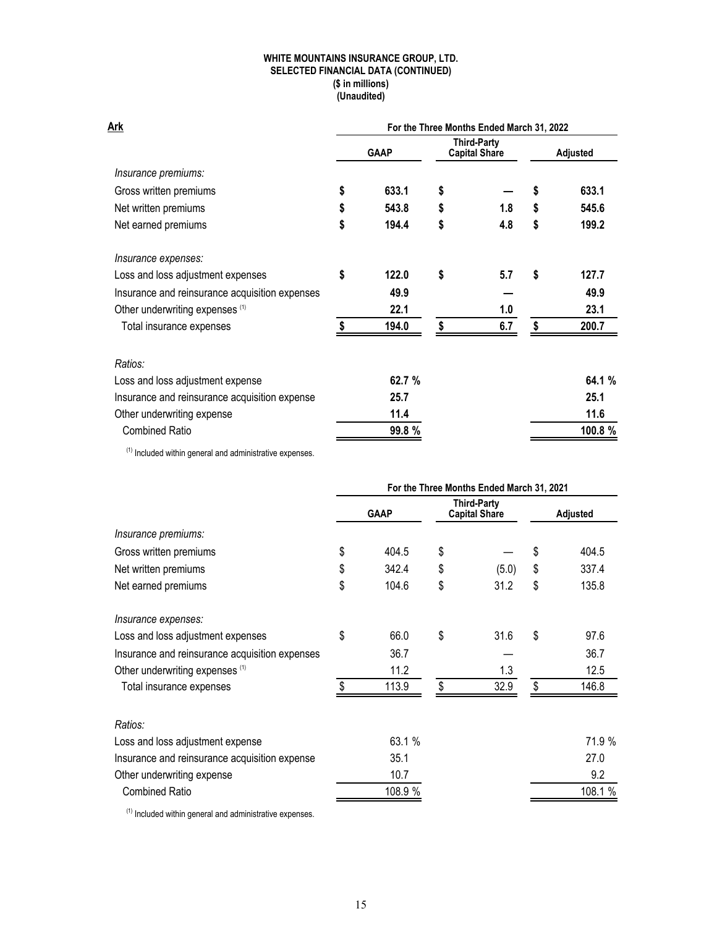#### **WHITE MOUNTAINS INSURANCE GROUP, LTD. SELECTED FINANCIAL DATA (CONTINUED) (\$ in millions) (Unaudited)**

| Ark                                            | For the Three Months Ended March 31, 2022 |             |    |                                     |    |                 |  |
|------------------------------------------------|-------------------------------------------|-------------|----|-------------------------------------|----|-----------------|--|
|                                                |                                           | <b>GAAP</b> |    | Third-Party<br><b>Capital Share</b> |    | <b>Adjusted</b> |  |
| Insurance premiums:                            |                                           |             |    |                                     |    |                 |  |
| Gross written premiums                         | \$                                        | 633.1       | \$ |                                     | \$ | 633.1           |  |
| Net written premiums                           | \$                                        | 543.8       | \$ | 1.8                                 | \$ | 545.6           |  |
| Net earned premiums                            | \$                                        | 194.4       | \$ | 4.8                                 | \$ | 199.2           |  |
| Insurance expenses:                            |                                           |             |    |                                     |    |                 |  |
| Loss and loss adjustment expenses              | \$                                        | 122.0       | \$ | 5.7                                 | \$ | 127.7           |  |
| Insurance and reinsurance acquisition expenses |                                           | 49.9        |    |                                     |    | 49.9            |  |
| Other underwriting expenses (1)                |                                           | 22.1        |    | 1.0                                 |    | 23.1            |  |
| Total insurance expenses                       |                                           | 194.0       | \$ | 6.7                                 | \$ | 200.7           |  |
| Ratios:                                        |                                           |             |    |                                     |    |                 |  |
| Loss and loss adjustment expense               |                                           | 62.7%       |    |                                     |    | 64.1 %          |  |
| Insurance and reinsurance acquisition expense  |                                           | 25.7        |    |                                     |    | 25.1            |  |
| Other underwriting expense                     |                                           | 11.4        |    |                                     |    | 11.6            |  |
| <b>Combined Ratio</b>                          |                                           | 99.8 %      |    |                                     |    | 100.8 %         |  |

 $(1)$  Included within general and administrative expenses.

|                                                | For the Three Months Ended March 31, 2021 |             |    |                                     |    |                 |
|------------------------------------------------|-------------------------------------------|-------------|----|-------------------------------------|----|-----------------|
|                                                |                                           | <b>GAAP</b> |    | Third-Party<br><b>Capital Share</b> |    | <b>Adjusted</b> |
| Insurance premiums:                            |                                           |             |    |                                     |    |                 |
| Gross written premiums                         | \$                                        | 404.5       | \$ |                                     | \$ | 404.5           |
| Net written premiums                           | \$                                        | 342.4       | \$ | (5.0)                               | \$ | 337.4           |
| Net earned premiums                            | \$                                        | 104.6       | \$ | 31.2                                | \$ | 135.8           |
| Insurance expenses:                            |                                           |             |    |                                     |    |                 |
| Loss and loss adjustment expenses              | \$                                        | 66.0        | \$ | 31.6                                | \$ | 97.6            |
| Insurance and reinsurance acquisition expenses |                                           | 36.7        |    |                                     |    | 36.7            |
| Other underwriting expenses (1)                |                                           | 11.2        |    | 1.3                                 |    | 12.5            |
| Total insurance expenses                       |                                           | 113.9       | \$ | 32.9                                | \$ | 146.8           |
| Ratios:                                        |                                           |             |    |                                     |    |                 |
| Loss and loss adjustment expense               |                                           | 63.1 %      |    |                                     |    | 71.9 %          |
| Insurance and reinsurance acquisition expense  |                                           | 35.1        |    |                                     |    | 27.0            |
| Other underwriting expense                     |                                           | 10.7        |    |                                     |    | 9.2             |
| <b>Combined Ratio</b>                          |                                           | 108.9 %     |    |                                     |    | 108.1 %         |

 $(1)$  Included within general and administrative expenses.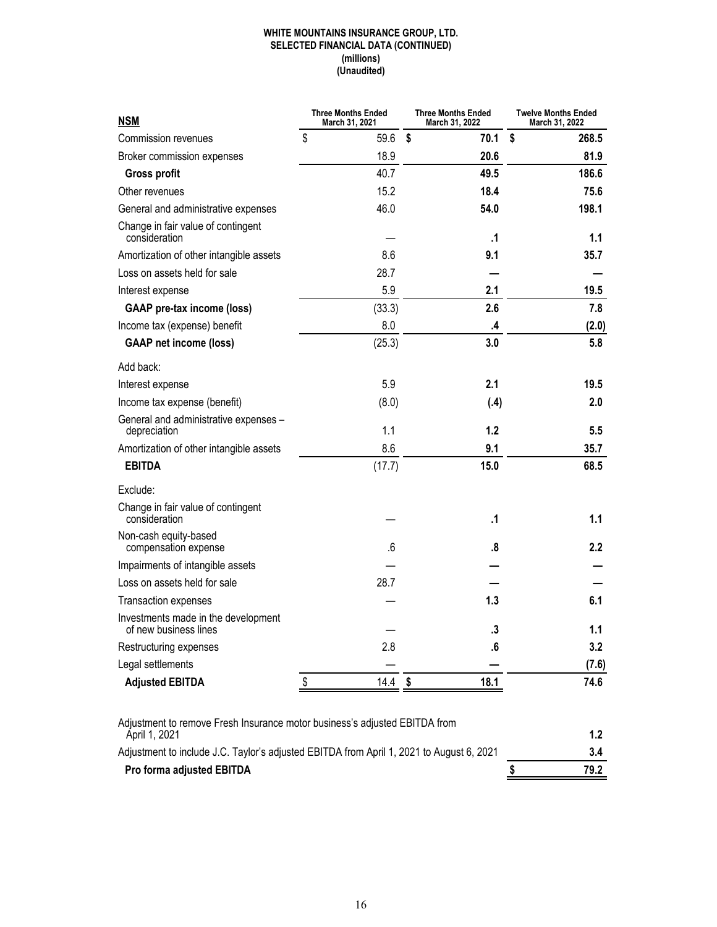#### **WHITE MOUNTAINS INSURANCE GROUP, LTD. SELECTED FINANCIAL DATA (CONTINUED) (millions) (Unaudited)**

| <b>NSM</b>                                                                                  | <b>Three Months Ended</b><br>March 31, 2021 | <b>Three Months Ended</b><br>March 31, 2022 |                   | Twelve Months Ended<br>March 31, 2022 |
|---------------------------------------------------------------------------------------------|---------------------------------------------|---------------------------------------------|-------------------|---------------------------------------|
| Commission revenues                                                                         | \$<br>59.6                                  | \$                                          | 70.1              | \$<br>268.5                           |
| Broker commission expenses                                                                  | 18.9                                        |                                             | 20.6              | 81.9                                  |
| <b>Gross profit</b>                                                                         | 40.7                                        |                                             | 49.5              | 186.6                                 |
| Other revenues                                                                              | 15.2                                        |                                             | 18.4              | 75.6                                  |
| General and administrative expenses                                                         | 46.0                                        |                                             | 54.0              | 198.1                                 |
| Change in fair value of contingent<br>consideration                                         |                                             |                                             | $\cdot$           | 1.1                                   |
| Amortization of other intangible assets                                                     | 8.6                                         |                                             | 9.1               | 35.7                                  |
| Loss on assets held for sale                                                                | 28.7                                        |                                             |                   |                                       |
| Interest expense                                                                            | 5.9                                         |                                             | 2.1               | 19.5                                  |
| <b>GAAP</b> pre-tax income (loss)                                                           | (33.3)                                      |                                             | 2.6               | 7.8                                   |
| Income tax (expense) benefit                                                                | 8.0                                         |                                             | .4                | (2.0)                                 |
| <b>GAAP net income (loss)</b>                                                               | (25.3)                                      |                                             | 3.0               | 5.8                                   |
| Add back:                                                                                   |                                             |                                             |                   |                                       |
| Interest expense                                                                            | 5.9                                         |                                             | 2.1               | 19.5                                  |
| Income tax expense (benefit)                                                                | (8.0)                                       |                                             | (.4)              | 2.0                                   |
| General and administrative expenses -<br>depreciation                                       | 1.1                                         |                                             | $1.2$             | 5.5                                   |
| Amortization of other intangible assets                                                     | 8.6                                         |                                             | 9.1               | 35.7                                  |
| <b>EBITDA</b>                                                                               | (17.7)                                      |                                             | 15.0              | 68.5                                  |
| Exclude:                                                                                    |                                             |                                             |                   |                                       |
| Change in fair value of contingent<br>consideration                                         |                                             |                                             | $\cdot$           | 1.1                                   |
| Non-cash equity-based<br>compensation expense                                               | .6                                          |                                             | .8                | $2.2\phantom{0}$                      |
| Impairments of intangible assets                                                            |                                             |                                             |                   |                                       |
| Loss on assets held for sale                                                                | 28.7                                        |                                             |                   |                                       |
| <b>Transaction expenses</b>                                                                 |                                             |                                             | 1.3               | 6.1                                   |
| Investments made in the development<br>of new business lines                                |                                             |                                             | .3                | 1.1                                   |
| Restructuring expenses                                                                      | 2.8                                         |                                             | $\boldsymbol{.6}$ | 3.2                                   |
| Legal settlements                                                                           |                                             |                                             |                   | (7.6)                                 |
| <b>Adjusted EBITDA</b>                                                                      | \$<br>14.4                                  | \$                                          | 18.1              | 74.6                                  |
|                                                                                             |                                             |                                             |                   |                                       |
| Adjustment to remove Fresh Insurance motor business's adjusted EBITDA from<br>Ápril 1, 2021 |                                             |                                             |                   | 1.2                                   |

| $1$ WILL 1, $LVL$ 1                                                                      | .    |
|------------------------------------------------------------------------------------------|------|
| Adjustment to include J.C. Taylor's adjusted EBITDA from April 1, 2021 to August 6, 2021 |      |
| Pro forma adjusted EBITDA                                                                | 79.2 |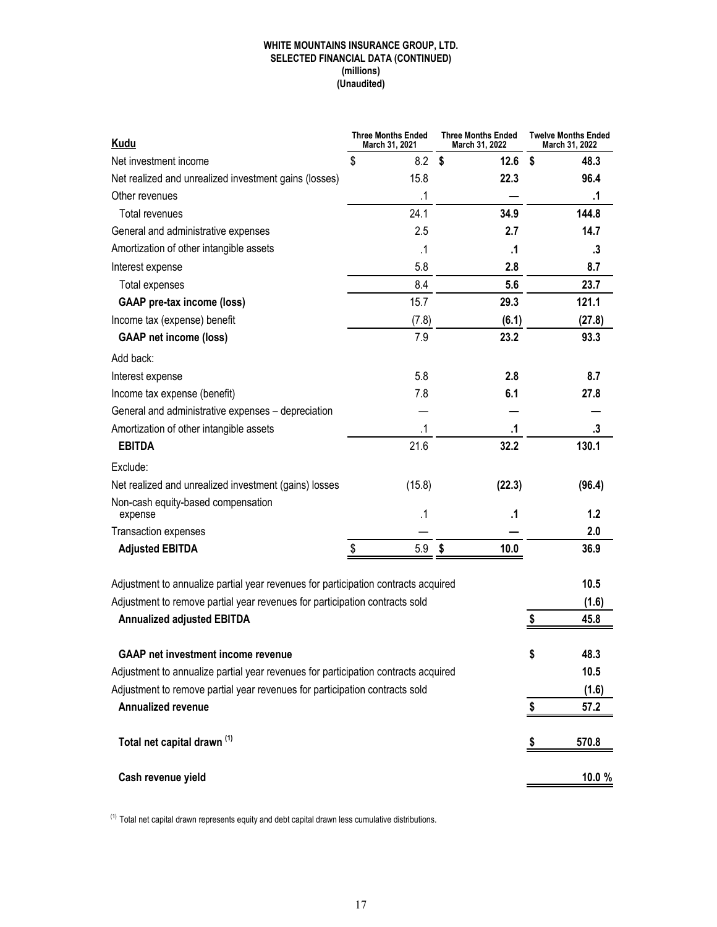#### **WHITE MOUNTAINS INSURANCE GROUP, LTD. SELECTED FINANCIAL DATA (CONTINUED) (millions) (Unaudited)**

| <b>Kudu</b>                                                                        | <b>Three Months Ended</b><br>March 31, 2021 | <b>Three Months Ended</b><br>March 31, 2022 | <b>Twelve Months Ended</b><br>March 31, 2022 |
|------------------------------------------------------------------------------------|---------------------------------------------|---------------------------------------------|----------------------------------------------|
| Net investment income                                                              | \$<br>8.2                                   | \$<br>12.6                                  | \$<br>48.3                                   |
| Net realized and unrealized investment gains (losses)                              | 15.8                                        | 22.3                                        | 96.4                                         |
| Other revenues                                                                     | $\cdot$ 1                                   |                                             | $\cdot$ 1                                    |
| Total revenues                                                                     | 24.1                                        | 34.9                                        | 144.8                                        |
| General and administrative expenses                                                | 2.5                                         | 2.7                                         | 14.7                                         |
| Amortization of other intangible assets                                            | $\cdot$ 1                                   | .1                                          | .3                                           |
| Interest expense                                                                   | 5.8                                         | 2.8                                         | 8.7                                          |
| Total expenses                                                                     | 8.4                                         | 5.6                                         | 23.7                                         |
| <b>GAAP</b> pre-tax income (loss)                                                  | 15.7                                        | 29.3                                        | 121.1                                        |
| Income tax (expense) benefit                                                       | (7.8)                                       | (6.1)                                       | (27.8)                                       |
| <b>GAAP</b> net income (loss)                                                      | 7.9                                         | 23.2                                        | 93.3                                         |
| Add back:                                                                          |                                             |                                             |                                              |
| Interest expense                                                                   | 5.8                                         | 2.8                                         | 8.7                                          |
| Income tax expense (benefit)                                                       | 7.8                                         | 6.1                                         | 27.8                                         |
| General and administrative expenses - depreciation                                 |                                             |                                             |                                              |
| Amortization of other intangible assets                                            | $\cdot$ 1                                   | .1                                          | .3                                           |
| <b>EBITDA</b>                                                                      | 21.6                                        | 32.2                                        | 130.1                                        |
| Exclude:                                                                           |                                             |                                             |                                              |
| Net realized and unrealized investment (gains) losses                              | (15.8)                                      | (22.3)                                      | (96.4)                                       |
| Non-cash equity-based compensation<br>expense                                      | .1                                          | .1                                          | 1.2                                          |
| Transaction expenses                                                               |                                             |                                             | 2.0                                          |
| <b>Adjusted EBITDA</b>                                                             | \$<br>5.9                                   | \$<br>10.0                                  | 36.9                                         |
|                                                                                    |                                             |                                             |                                              |
| Adjustment to annualize partial year revenues for participation contracts acquired |                                             |                                             | 10.5                                         |
| Adjustment to remove partial year revenues for participation contracts sold        |                                             |                                             | (1.6)                                        |
| <b>Annualized adjusted EBITDA</b>                                                  |                                             |                                             | \$<br>45.8                                   |
|                                                                                    |                                             |                                             |                                              |
| <b>GAAP net investment income revenue</b>                                          |                                             |                                             | 48.3<br>Þ                                    |
| Adjustment to annualize partial year revenues for participation contracts acquired |                                             |                                             | 10.5                                         |
| Adjustment to remove partial year revenues for participation contracts sold        |                                             |                                             | (1.6)                                        |
| <b>Annualized revenue</b>                                                          |                                             |                                             | 57.2<br>\$                                   |
|                                                                                    |                                             |                                             |                                              |
| Total net capital drawn <sup>(1)</sup>                                             |                                             |                                             | 570.8<br>P                                   |
| Cash revenue yield                                                                 |                                             |                                             | 10.0 %                                       |

 $(1)$  Total net capital drawn represents equity and debt capital drawn less cumulative distributions.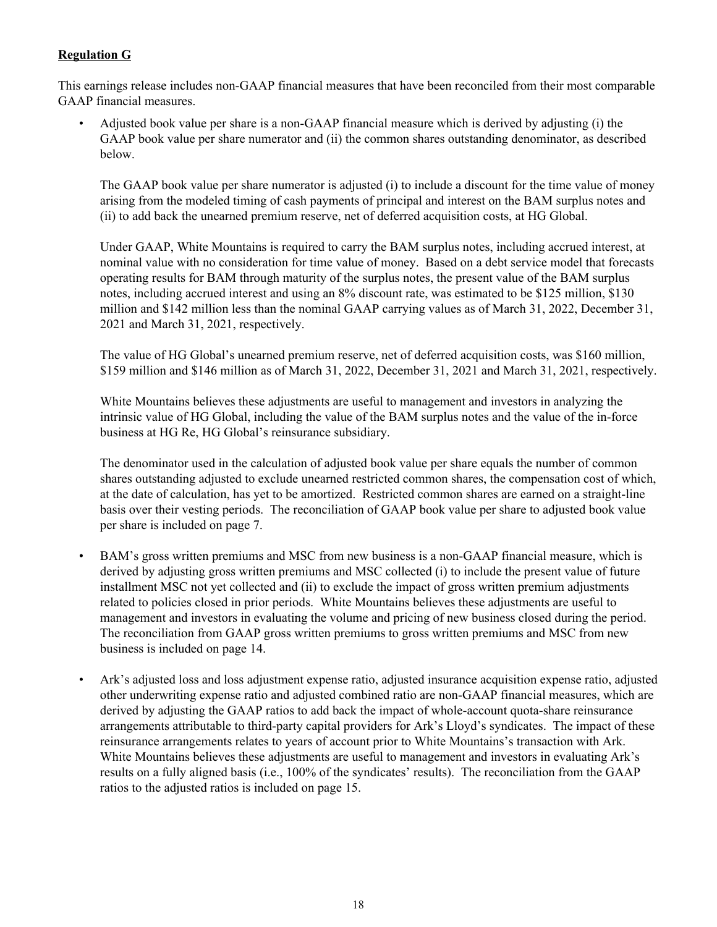## **Regulation G**

This earnings release includes non-GAAP financial measures that have been reconciled from their most comparable GAAP financial measures.

• Adjusted book value per share is a non-GAAP financial measure which is derived by adjusting (i) the GAAP book value per share numerator and (ii) the common shares outstanding denominator, as described below.

The GAAP book value per share numerator is adjusted (i) to include a discount for the time value of money arising from the modeled timing of cash payments of principal and interest on the BAM surplus notes and (ii) to add back the unearned premium reserve, net of deferred acquisition costs, at HG Global.

Under GAAP, White Mountains is required to carry the BAM surplus notes, including accrued interest, at nominal value with no consideration for time value of money. Based on a debt service model that forecasts operating results for BAM through maturity of the surplus notes, the present value of the BAM surplus notes, including accrued interest and using an 8% discount rate, was estimated to be \$125 million, \$130 million and \$142 million less than the nominal GAAP carrying values as of March 31, 2022, December 31, 2021 and March 31, 2021, respectively.

The value of HG Global's unearned premium reserve, net of deferred acquisition costs, was \$160 million, \$159 million and \$146 million as of March 31, 2022, December 31, 2021 and March 31, 2021, respectively.

White Mountains believes these adjustments are useful to management and investors in analyzing the intrinsic value of HG Global, including the value of the BAM surplus notes and the value of the in-force business at HG Re, HG Global's reinsurance subsidiary.

The denominator used in the calculation of adjusted book value per share equals the number of common shares outstanding adjusted to exclude unearned restricted common shares, the compensation cost of which, at the date of calculation, has yet to be amortized. Restricted common shares are earned on a straight-line basis over their vesting periods. The reconciliation of GAAP book value per share to adjusted book value per share is included on page 7.

- BAM's gross written premiums and MSC from new business is a non-GAAP financial measure, which is derived by adjusting gross written premiums and MSC collected (i) to include the present value of future installment MSC not yet collected and (ii) to exclude the impact of gross written premium adjustments related to policies closed in prior periods. White Mountains believes these adjustments are useful to management and investors in evaluating the volume and pricing of new business closed during the period. The reconciliation from GAAP gross written premiums to gross written premiums and MSC from new business is included on page 14.
- Ark's adjusted loss and loss adjustment expense ratio, adjusted insurance acquisition expense ratio, adjusted other underwriting expense ratio and adjusted combined ratio are non-GAAP financial measures, which are derived by adjusting the GAAP ratios to add back the impact of whole-account quota-share reinsurance arrangements attributable to third-party capital providers for Ark's Lloyd's syndicates. The impact of these reinsurance arrangements relates to years of account prior to White Mountains's transaction with Ark. White Mountains believes these adjustments are useful to management and investors in evaluating Ark's results on a fully aligned basis (i.e., 100% of the syndicates' results). The reconciliation from the GAAP ratios to the adjusted ratios is included on page 15.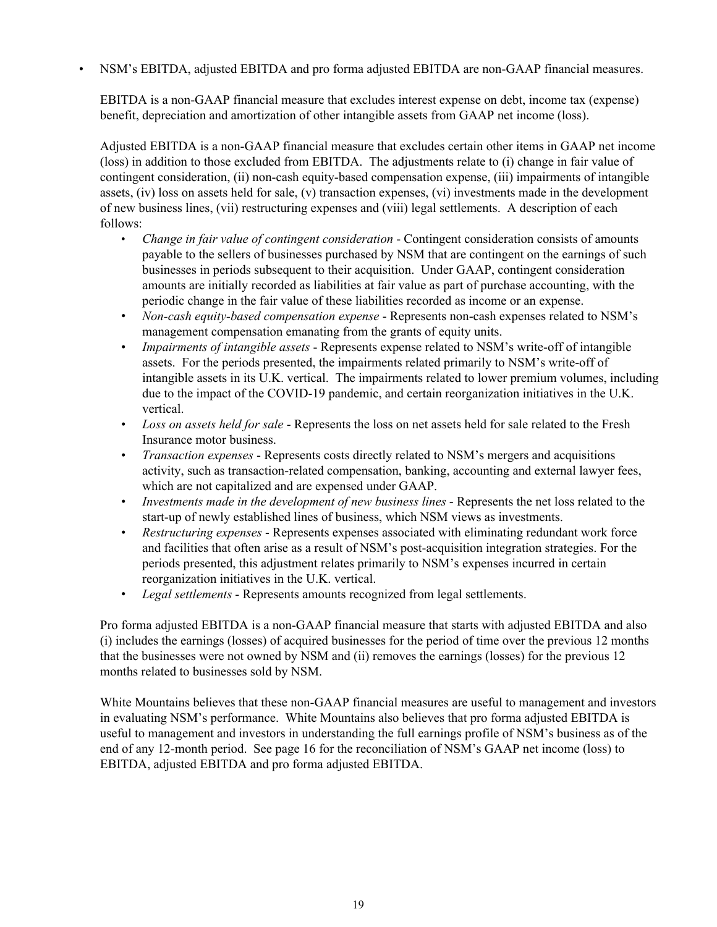• NSM's EBITDA, adjusted EBITDA and pro forma adjusted EBITDA are non-GAAP financial measures.

EBITDA is a non-GAAP financial measure that excludes interest expense on debt, income tax (expense) benefit, depreciation and amortization of other intangible assets from GAAP net income (loss).

Adjusted EBITDA is a non-GAAP financial measure that excludes certain other items in GAAP net income (loss) in addition to those excluded from EBITDA. The adjustments relate to (i) change in fair value of contingent consideration, (ii) non-cash equity-based compensation expense, (iii) impairments of intangible assets, (iv) loss on assets held for sale, (v) transaction expenses, (vi) investments made in the development of new business lines, (vii) restructuring expenses and (viii) legal settlements. A description of each follows:

- *Change in fair value of contingent consideration* Contingent consideration consists of amounts payable to the sellers of businesses purchased by NSM that are contingent on the earnings of such businesses in periods subsequent to their acquisition. Under GAAP, contingent consideration amounts are initially recorded as liabilities at fair value as part of purchase accounting, with the periodic change in the fair value of these liabilities recorded as income or an expense.
- *Non-cash equity-based compensation expense* Represents non-cash expenses related to NSM's management compensation emanating from the grants of equity units.
- *Impairments of intangible assets* Represents expense related to NSM's write-off of intangible assets. For the periods presented, the impairments related primarily to NSM's write-off of intangible assets in its U.K. vertical. The impairments related to lower premium volumes, including due to the impact of the COVID-19 pandemic, and certain reorganization initiatives in the U.K. vertical.
- *Loss on assets held for sale* Represents the loss on net assets held for sale related to the Fresh Insurance motor business.
- *Transaction expenses* Represents costs directly related to NSM's mergers and acquisitions activity, such as transaction-related compensation, banking, accounting and external lawyer fees, which are not capitalized and are expensed under GAAP.
- *Investments made in the development of new business lines* Represents the net loss related to the start-up of newly established lines of business, which NSM views as investments.
- *Restructuring expenses* Represents expenses associated with eliminating redundant work force and facilities that often arise as a result of NSM's post-acquisition integration strategies. For the periods presented, this adjustment relates primarily to NSM's expenses incurred in certain reorganization initiatives in the U.K. vertical.
- *Legal settlements*  Represents amounts recognized from legal settlements.

Pro forma adjusted EBITDA is a non-GAAP financial measure that starts with adjusted EBITDA and also (i) includes the earnings (losses) of acquired businesses for the period of time over the previous 12 months that the businesses were not owned by NSM and (ii) removes the earnings (losses) for the previous 12 months related to businesses sold by NSM.

White Mountains believes that these non-GAAP financial measures are useful to management and investors in evaluating NSM's performance. White Mountains also believes that pro forma adjusted EBITDA is useful to management and investors in understanding the full earnings profile of NSM's business as of the end of any 12-month period. See page 16 for the reconciliation of NSM's GAAP net income (loss) to EBITDA, adjusted EBITDA and pro forma adjusted EBITDA.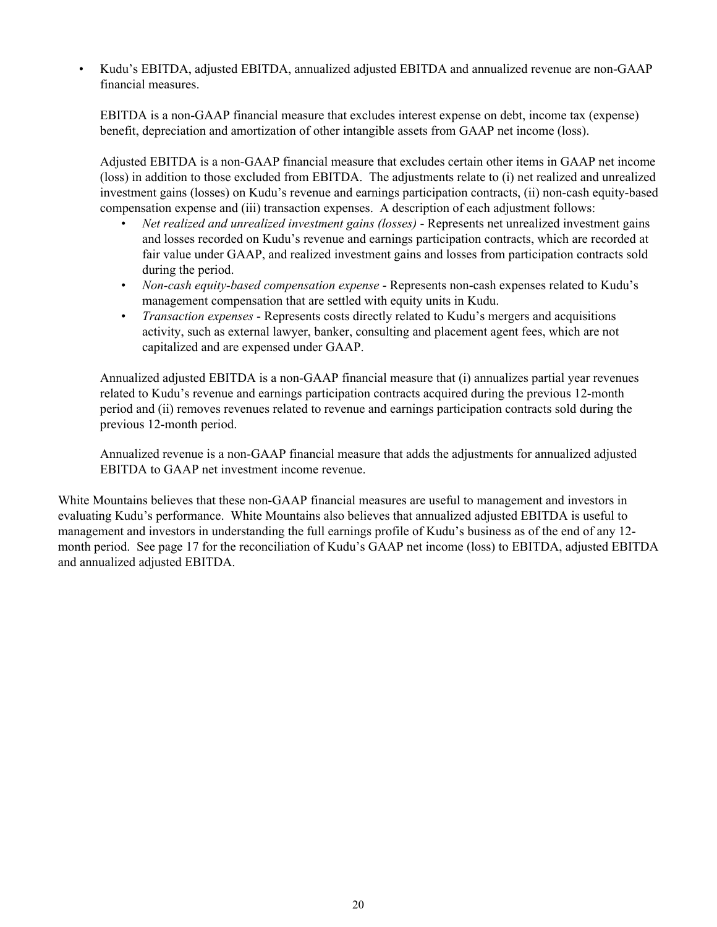• Kudu's EBITDA, adjusted EBITDA, annualized adjusted EBITDA and annualized revenue are non-GAAP financial measures.

EBITDA is a non-GAAP financial measure that excludes interest expense on debt, income tax (expense) benefit, depreciation and amortization of other intangible assets from GAAP net income (loss).

Adjusted EBITDA is a non-GAAP financial measure that excludes certain other items in GAAP net income (loss) in addition to those excluded from EBITDA. The adjustments relate to (i) net realized and unrealized investment gains (losses) on Kudu's revenue and earnings participation contracts, (ii) non-cash equity-based compensation expense and (iii) transaction expenses. A description of each adjustment follows:

- *Net realized and unrealized investment gains (losses)* Represents net unrealized investment gains and losses recorded on Kudu's revenue and earnings participation contracts, which are recorded at fair value under GAAP, and realized investment gains and losses from participation contracts sold during the period.
- *Non-cash equity-based compensation expense* Represents non-cash expenses related to Kudu's management compensation that are settled with equity units in Kudu.
- *Transaction expenses* Represents costs directly related to Kudu's mergers and acquisitions activity, such as external lawyer, banker, consulting and placement agent fees, which are not capitalized and are expensed under GAAP.

Annualized adjusted EBITDA is a non-GAAP financial measure that (i) annualizes partial year revenues related to Kudu's revenue and earnings participation contracts acquired during the previous 12-month period and (ii) removes revenues related to revenue and earnings participation contracts sold during the previous 12-month period.

Annualized revenue is a non-GAAP financial measure that adds the adjustments for annualized adjusted EBITDA to GAAP net investment income revenue.

White Mountains believes that these non-GAAP financial measures are useful to management and investors in evaluating Kudu's performance. White Mountains also believes that annualized adjusted EBITDA is useful to management and investors in understanding the full earnings profile of Kudu's business as of the end of any 12 month period. See page 17 for the reconciliation of Kudu's GAAP net income (loss) to EBITDA, adjusted EBITDA and annualized adjusted EBITDA.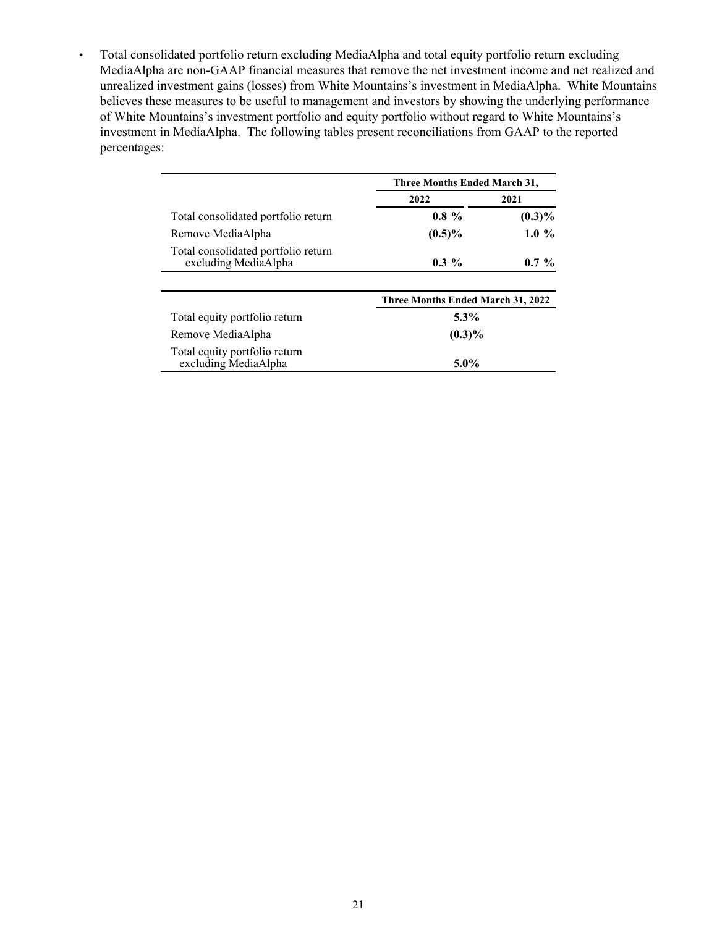• Total consolidated portfolio return excluding MediaAlpha and total equity portfolio return excluding MediaAlpha are non-GAAP financial measures that remove the net investment income and net realized and unrealized investment gains (losses) from White Mountains's investment in MediaAlpha. White Mountains believes these measures to be useful to management and investors by showing the underlying performance of White Mountains's investment portfolio and equity portfolio without regard to White Mountains's investment in MediaAlpha. The following tables present reconciliations from GAAP to the reported percentages:

|                                                             | Three Months Ended March 31,      |           |  |
|-------------------------------------------------------------|-----------------------------------|-----------|--|
|                                                             | 2022<br>2021                      |           |  |
| Total consolidated portfolio return                         | $0.8 \%$                          | $(0.3)\%$ |  |
| Remove MediaAlpha                                           | $(0.5)\%$                         | $1.0\%$   |  |
| Total consolidated portfolio return<br>excluding MediaAlpha | $0.3\%$                           | $0.7\%$   |  |
|                                                             |                                   |           |  |
|                                                             | Three Months Ended March 31, 2022 |           |  |
| Total equity portfolio return                               | $5.3\%$                           |           |  |
| Remove MediaAlpha                                           | $(0.3)\%$                         |           |  |
| Total equity portfolio return<br>excluding MediaAlpha       | $5.0\%$                           |           |  |